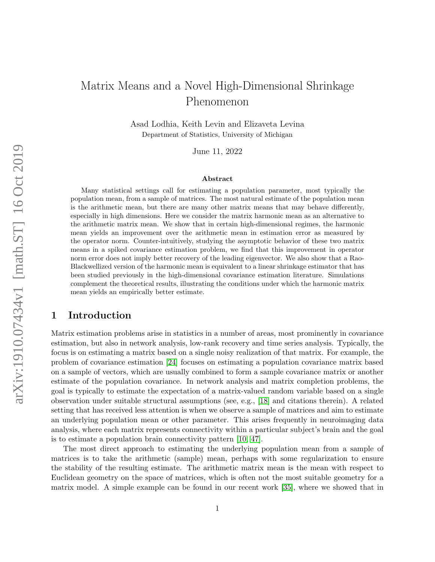# Matrix Means and a Novel High-Dimensional Shrinkage Phenomenon

Asad Lodhia, Keith Levin and Elizaveta Levina Department of Statistics, University of Michigan

June 11, 2022

#### Abstract

Many statistical settings call for estimating a population parameter, most typically the population mean, from a sample of matrices. The most natural estimate of the population mean is the arithmetic mean, but there are many other matrix means that may behave differently, especially in high dimensions. Here we consider the matrix harmonic mean as an alternative to the arithmetic matrix mean. We show that in certain high-dimensional regimes, the harmonic mean yields an improvement over the arithmetic mean in estimation error as measured by the operator norm. Counter-intuitively, studying the asymptotic behavior of these two matrix means in a spiked covariance estimation problem, we find that this improvement in operator norm error does not imply better recovery of the leading eigenvector. We also show that a Rao-Blackwellized version of the harmonic mean is equivalent to a linear shrinkage estimator that has been studied previously in the high-dimensional covariance estimation literature. Simulations complement the theoretical results, illustrating the conditions under which the harmonic matrix mean yields an empirically better estimate.

# 1 Introduction

Matrix estimation problems arise in statistics in a number of areas, most prominently in covariance estimation, but also in network analysis, low-rank recovery and time series analysis. Typically, the focus is on estimating a matrix based on a single noisy realization of that matrix. For example, the problem of covariance estimation [\[24\]](#page-21-0) focuses on estimating a population covariance matrix based on a sample of vectors, which are usually combined to form a sample covariance matrix or another estimate of the population covariance. In network analysis and matrix completion problems, the goal is typically to estimate the expectation of a matrix-valued random variable based on a single observation under suitable structural assumptions (see, e.g., [\[18\]](#page-21-1) and citations therein). A related setting that has received less attention is when we observe a sample of matrices and aim to estimate an underlying population mean or other parameter. This arises frequently in neuroimaging data analysis, where each matrix represents connectivity within a particular subject's brain and the goal is to estimate a population brain connectivity pattern [\[10,](#page-20-0) [47\]](#page-23-0).

The most direct approach to estimating the underlying population mean from a sample of matrices is to take the arithmetic (sample) mean, perhaps with some regularization to ensure the stability of the resulting estimate. The arithmetic matrix mean is the mean with respect to Euclidean geometry on the space of matrices, which is often not the most suitable geometry for a matrix model. A simple example can be found in our recent work [\[35\]](#page-22-0), where we showed that in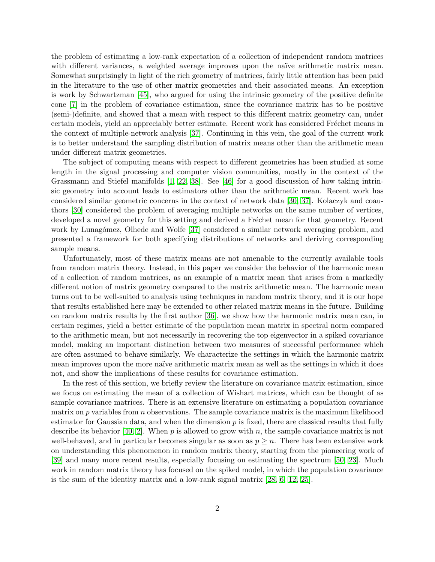the problem of estimating a low-rank expectation of a collection of independent random matrices with different variances, a weighted average improves upon the naïve arithmetic matrix mean. Somewhat surprisingly in light of the rich geometry of matrices, fairly little attention has been paid in the literature to the use of other matrix geometries and their associated means. An exception is work by Schwartzman [\[45\]](#page-22-1), who argued for using the intrinsic geometry of the positive definite cone [\[7\]](#page-20-1) in the problem of covariance estimation, since the covariance matrix has to be positive (semi-)definite, and showed that a mean with respect to this different matrix geometry can, under certain models, yield an appreciably better estimate. Recent work has considered Fréchet means in the context of multiple-network analysis [\[37\]](#page-22-2). Continuing in this vein, the goal of the current work is to better understand the sampling distribution of matrix means other than the arithmetic mean under different matrix geometries.

The subject of computing means with respect to different geometries has been studied at some length in the signal processing and computer vision communities, mostly in the context of the Grassmann and Stiefel manifolds [\[1,](#page-20-2) [22,](#page-21-2) [38\]](#page-22-3). See [\[46\]](#page-23-1) for a good discussion of how taking intrinsic geometry into account leads to estimators other than the arithmetic mean. Recent work has considered similar geometric concerns in the context of network data [\[30,](#page-22-4) [37\]](#page-22-2). Kolaczyk and coauthors [\[30\]](#page-22-4) considered the problem of averaging multiple networks on the same number of vertices, developed a novel geometry for this setting and derived a Fréchet mean for that geometry. Recent work by Lunagómez, Olhede and Wolfe [\[37\]](#page-22-2) considered a similar network averaging problem, and presented a framework for both specifying distributions of networks and deriving corresponding sample means.

Unfortunately, most of these matrix means are not amenable to the currently available tools from random matrix theory. Instead, in this paper we consider the behavior of the harmonic mean of a collection of random matrices, as an example of a matrix mean that arises from a markedly different notion of matrix geometry compared to the matrix arithmetic mean. The harmonic mean turns out to be well-suited to analysis using techniques in random matrix theory, and it is our hope that results established here may be extended to other related matrix means in the future. Building on random matrix results by the first author [\[36\]](#page-22-5), we show how the harmonic matrix mean can, in certain regimes, yield a better estimate of the population mean matrix in spectral norm compared to the arithmetic mean, but not necessarily in recovering the top eigenvector in a spiked covariance model, making an important distinction between two measures of successful performance which are often assumed to behave similarly. We characterize the settings in which the harmonic matrix mean improves upon the more naïve arithmetic matrix mean as well as the settings in which it does not, and show the implications of these results for covariance estimation.

In the rest of this section, we briefly review the literature on covariance matrix estimation, since we focus on estimating the mean of a collection of Wishart matrices, which can be thought of as sample covariance matrices. There is an extensive literature on estimating a population covariance matrix on  $p$  variables from  $n$  observations. The sample covariance matrix is the maximum likelihood estimator for Gaussian data, and when the dimension  $p$  is fixed, there are classical results that fully describe its behavior [\[40,](#page-22-6) [2\]](#page-20-3). When p is allowed to grow with n, the sample covariance matrix is not well-behaved, and in particular becomes singular as soon as  $p \geq n$ . There has been extensive work on understanding this phenomenon in random matrix theory, starting from the pioneering work of [\[39\]](#page-22-7) and many more recent results, especially focusing on estimating the spectrum [\[50,](#page-23-2) [23\]](#page-21-3). Much work in random matrix theory has focused on the spiked model, in which the population covariance is the sum of the identity matrix and a low-rank signal matrix [\[28,](#page-21-4) [6,](#page-20-4) [12,](#page-20-5) [25\]](#page-21-5).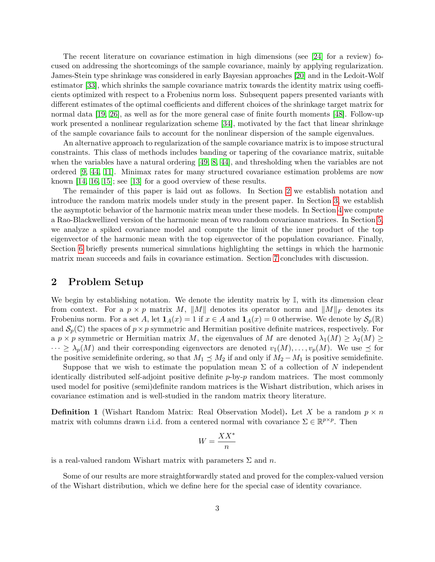The recent literature on covariance estimation in high dimensions (see [\[24\]](#page-21-0) for a review) focused on addressing the shortcomings of the sample covariance, mainly by applying regularization. James-Stein type shrinkage was considered in early Bayesian approaches [\[20\]](#page-21-6) and in the Ledoit-Wolf estimator [\[33\]](#page-22-8), which shrinks the sample covariance matrix towards the identity matrix using coefficients optimized with respect to a Frobenius norm loss. Subsequent papers presented variants with different estimates of the optimal coefficients and different choices of the shrinkage target matrix for normal data [\[19,](#page-21-7) [26\]](#page-21-8), as well as for the more general case of finite fourth moments [\[48\]](#page-23-3). Follow-up work presented a nonlinear regularization scheme [\[34\]](#page-22-9), motivated by the fact that linear shrinkage of the sample covariance fails to account for the nonlinear dispersion of the sample eigenvalues.

An alternative approach to regularization of the sample covariance matrix is to impose structural constraints. This class of methods includes banding or tapering of the covariance matrix, suitable when the variables have a natural ordering [\[49,](#page-23-4) [8,](#page-20-6) [44\]](#page-22-10), and thresholding when the variables are not ordered [\[9,](#page-20-7) [44,](#page-22-10) [11\]](#page-20-8). Minimax rates for many structured covariance estimation problems are now known [\[14,](#page-21-9) [16,](#page-21-10) [15\]](#page-21-11); see [\[13\]](#page-21-12) for a good overview of these results.

The remainder of this paper is laid out as follows. In Section [2](#page-2-0) we establish notation and introduce the random matrix models under study in the present paper. In Section [3,](#page-4-0) we establish the asymptotic behavior of the harmonic matrix mean under these models. In Section [4](#page-8-0) we compute a Rao-Blackwellized version of the harmonic mean of two random covariance matrices. In Section [5,](#page-12-0) we analyze a spiked covariance model and compute the limit of the inner product of the top eigenvector of the harmonic mean with the top eigenvector of the population covariance. Finally, Section [6](#page-16-0) briefly presents numerical simulations highlighting the settings in which the harmonic matrix mean succeeds and fails in covariance estimation. Section [7](#page-19-0) concludes with discussion.

### <span id="page-2-0"></span>2 Problem Setup

We begin by establishing notation. We denote the identity matrix by  $\mathbb{I}$ , with its dimension clear from context. For a  $p \times p$  matrix M, ||M|| denotes its operator norm and  $||M||_F$  denotes its Frobenius norm. For a set A, let  $\mathbf{1}_A(x) = 1$  if  $x \in A$  and  $\mathbf{1}_A(x) = 0$  otherwise. We denote by  $\mathcal{S}_p(\mathbb{R})$ and  $\mathcal{S}_p(\mathbb{C})$  the spaces of  $p \times p$  symmetric and Hermitian positive definite matrices, respectively. For a  $p \times p$  symmetric or Hermitian matrix M, the eigenvalues of M are denoted  $\lambda_1(M) \geq \lambda_2(M) \geq$  $\cdots \geq \lambda_p(M)$  and their corresponding eigenvectors are denoted  $v_1(M), \ldots, v_p(M)$ . We use  $\preceq$  for the positive semidefinite ordering, so that  $M_1 \preceq M_2$  if and only if  $M_2 - M_1$  is positive semidefinite.

Suppose that we wish to estimate the population mean  $\Sigma$  of a collection of N independent identically distributed self-adjoint positive definite  $p$ -by- $p$  random matrices. The most commonly used model for positive (semi)definite random matrices is the Wishart distribution, which arises in covariance estimation and is well-studied in the random matrix theory literature.

<span id="page-2-1"></span>**Definition 1** (Wishart Random Matrix: Real Observation Model). Let X be a random  $p \times n$ matrix with columns drawn i.i.d. from a centered normal with covariance  $\Sigma \in \mathbb{R}^{p \times p}$ . Then

$$
W = \frac{XX^*}{n}
$$

is a real-valued random Wishart matrix with parameters  $\Sigma$  and n.

Some of our results are more straightforwardly stated and proved for the complex-valued version of the Wishart distribution, which we define here for the special case of identity covariance.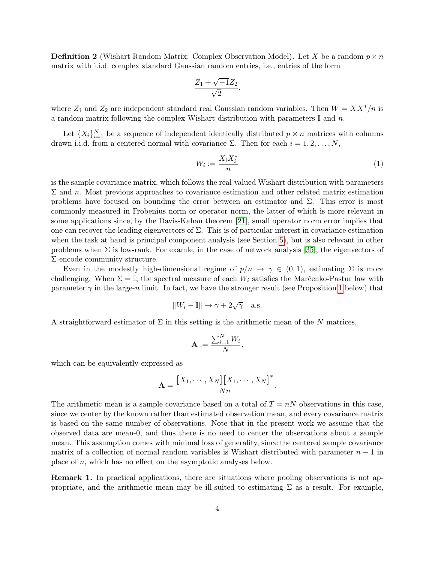<span id="page-3-0"></span>**Definition 2** (Wishart Random Matrix: Complex Observation Model). Let X be a random  $p \times n$ matrix with i.i.d. complex standard Gaussian random entries, i.e., entries of the form

$$
\frac{Z_1 + \sqrt{-1}Z_2}{\sqrt{2}},
$$

where  $Z_1$  and  $Z_2$  are independent standard real Gaussian random variables. Then  $W = XX^*/n$  is a random matrix following the complex Wishart distribution with parameters  $\mathbb{I}$  and n.

Let  $\{X_i\}_{i=1}^N$  be a sequence of independent identically distributed  $p \times n$  matrices with columns drawn i.i.d. from a centered normal with covariance  $\Sigma$ . Then for each  $i = 1, 2, \ldots, N$ ,

$$
W_i := \frac{X_i X_i^*}{n} \tag{1}
$$

.

is the sample covariance matrix, which follows the real-valued Wishart distribution with parameters  $\Sigma$  and n. Most previous approaches to covariance estimation and other related matrix estimation problems have focused on bounding the error between an estimator and  $\Sigma$ . This error is most commonly measured in Frobenius norm or operator norm, the latter of which is more relevant in some applications since, by the Davis-Kahan theorem [\[21\]](#page-21-13), small operator norm error implies that one can recover the leading eigenvectors of Σ. This is of particular interest in covariance estimation when the task at hand is principal component analysis (see Section [5\)](#page-12-0), but is also relevant in other problems when  $\Sigma$  is low-rank. For examle, in the case of network analysis [\[35\]](#page-22-0), the eigenvectors of  $\Sigma$  encode community structure.

Even in the modestly high-dimensional regime of  $p/n \to \gamma \in (0,1)$ , estimating  $\Sigma$  is more challenging. When  $\Sigma = \mathbb{I}$ , the spectral measure of each  $W_i$  satisfies the Marc̆enko-Pastur law with parameter  $\gamma$  in the large-n limit. In fact, we have the stronger result (see Proposition [1](#page-5-0) below) that

$$
||W_i - \mathbb{I}|| \to \gamma + 2\sqrt{\gamma} \quad \text{a.s.}
$$

A straightforward estimator of  $\Sigma$  in this setting is the arithmetic mean of the N matrices,

$$
\mathbf{A} := \frac{\sum_{i=1}^{N} W_i}{N},
$$

which can be equivalently expressed as

$$
\mathbf{A} = \frac{[X_1, \cdots, X_N][X_1, \cdots, X_N]^*}{Nn}
$$

The arithmetic mean is a sample covariance based on a total of  $T = nN$  observations in this case, since we center by the known rather than estimated observation mean, and every covariance matrix is based on the same number of observations. Note that in the present work we assume that the observed data are mean-0, and thus there is no need to center the observations about a sample mean. This assumption comes with minimal loss of generality, since the centered sample covariance matrix of a collection of normal random variables is Wishart distributed with parameter  $n-1$  in place of n, which has no effect on the asymptotic analyses below.

Remark 1. In practical applications, there are situations where pooling observations is not appropriate, and the arithmetic mean may be ill-suited to estimating  $\Sigma$  as a result. For example,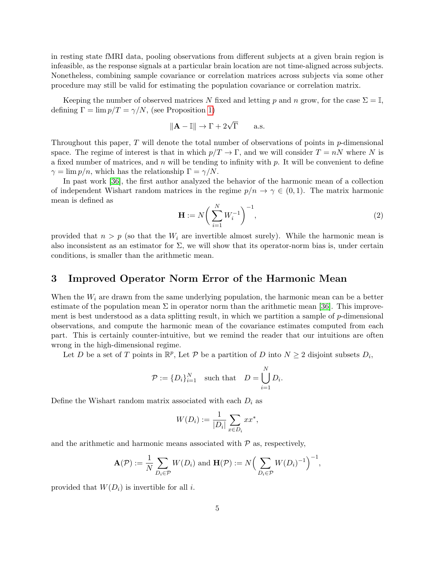in resting state fMRI data, pooling observations from different subjects at a given brain region is infeasible, as the response signals at a particular brain location are not time-aligned across subjects. Nonetheless, combining sample covariance or correlation matrices across subjects via some other procedure may still be valid for estimating the population covariance or correlation matrix.

Keeping the number of observed matrices N fixed and letting p and n grow, for the case  $\Sigma = \mathbb{I}$ , defining  $\Gamma = \lim p/T = \gamma/N$ , (see Proposition [1\)](#page-5-0)

$$
\|\mathbf{A} - \mathbb{I}\| \to \Gamma + 2\sqrt{\Gamma} \quad \text{a.s.}
$$

Throughout this paper, T will denote the total number of observations of points in p-dimensional space. The regime of interest is that in which  $p/T \to \Gamma$ , and we will consider  $T = nN$  where N is a fixed number of matrices, and n will be tending to infinity with  $p$ . It will be convenient to define  $\gamma = \lim p/n$ , which has the relationship  $\Gamma = \gamma/N$ .

In past work [\[36\]](#page-22-5), the first author analyzed the behavior of the harmonic mean of a collection of independent Wishart random matrices in the regime  $p/n \to \gamma \in (0,1)$ . The matrix harmonic mean is defined as

$$
\mathbf{H} := N \bigg( \sum_{i=1}^{N} W_i^{-1} \bigg)^{-1}, \tag{2}
$$

provided that  $n > p$  (so that the  $W_i$  are invertible almost surely). While the harmonic mean is also inconsistent as an estimator for  $\Sigma$ , we will show that its operator-norm bias is, under certain conditions, is smaller than the arithmetic mean.

# <span id="page-4-0"></span>3 Improved Operator Norm Error of the Harmonic Mean

When the  $W_i$  are drawn from the same underlying population, the harmonic mean can be a better estimate of the population mean  $\Sigma$  in operator norm than the arithmetic mean [\[36\]](#page-22-5). This improvement is best understood as a data splitting result, in which we partition a sample of p-dimensional observations, and compute the harmonic mean of the covariance estimates computed from each part. This is certainly counter-intuitive, but we remind the reader that our intuitions are often wrong in the high-dimensional regime.

Let D be a set of T points in  $\mathbb{R}^p$ , Let P be a partition of D into  $N \geq 2$  disjoint subsets  $D_i$ ,

$$
\mathcal{P} := \{D_i\}_{i=1}^N \quad \text{such that} \quad D = \bigcup_{i=1}^N D_i.
$$

Define the Wishart random matrix associated with each  $D_i$  as

$$
W(D_i) := \frac{1}{|D_i|} \sum_{x \in D_i} x x^*,
$$

and the arithmetic and harmonic means associated with  $P$  as, respectively,

$$
\mathbf{A}(\mathcal{P}) := \frac{1}{N} \sum_{D_i \in \mathcal{P}} W(D_i) \text{ and } \mathbf{H}(\mathcal{P}) := N \Big( \sum_{D_i \in \mathcal{P}} W(D_i)^{-1} \Big)^{-1},
$$

provided that  $W(D_i)$  is invertible for all i.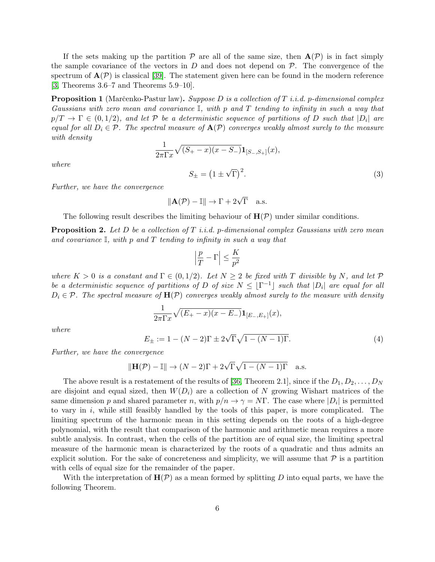If the sets making up the partition  $P$  are all of the same size, then  $A(P)$  is in fact simply the sample covariance of the vectors in  $D$  and does not depend on  $\mathcal{P}$ . The convergence of the spectrum of  $\mathbf{A}(\mathcal{P})$  is classical [\[39\]](#page-22-7). The statement given here can be found in the modern reference [\[3,](#page-20-9) Theorems 3.6–7 and Theorems 5.9–10].

<span id="page-5-0"></span>**Proposition 1** (Marčenko-Pastur law). Suppose D is a collection of T i.i.d. p-dimensional complex Gaussians with zero mean and covariance I, with p and T tending to infinity in such a way that  $p/T \to \Gamma \in (0,1/2)$ , and let  ${\cal P}$  be a deterministic sequence of partitions of  $D$  such that  $|D_i|$  are equal for all  $D_i \in \mathcal{P}$ . The spectral measure of  $\mathbf{A}(\mathcal{P})$  converges weakly almost surely to the measure with density

$$
\frac{1}{2\pi\Gamma x}\sqrt{(S_{+}-x)(x-S_{-})}\mathbf{1}_{[S_{-},S_{+}]}(x),
$$

$$
S_{\pm} = (1 \pm \sqrt{\Gamma})^{2}.
$$
 (3)

where

Further, we have the convergence

<span id="page-5-3"></span>
$$
\|\mathbf{A}(\mathcal{P}) - \mathbb{I}\| \to \Gamma + 2\sqrt{\Gamma} \quad \text{a.s.}
$$

The following result describes the limiting behaviour of  $H(\mathcal{P})$  under similar conditions.

<span id="page-5-1"></span>**Proposition 2.** Let D be a collection of T *i.i.d.* p-dimensional complex Gaussians with zero mean and covariance  $\mathbb{I}$ , with p and T tending to infinity in such a way that

$$
\left|\frac{p}{T}-\Gamma\right|\leq \frac{K}{p^2}
$$

where  $K > 0$  is a constant and  $\Gamma \in (0, 1/2)$ . Let  $N \geq 2$  be fixed with T divisible by N, and let P be a deterministic sequence of partitions of D of size  $N \leq \lfloor \Gamma^{-1} \rfloor$  such that  $|D_i|$  are equal for all  $D_i \in \mathcal{P}$ . The spectral measure of  $\mathbf{H}(\mathcal{P})$  converges weakly almost surely to the measure with density

$$
\frac{1}{2\pi\Gamma x}\sqrt{(E_{+}-x)(x-E_{-})}\mathbf{1}_{[E_{-},E_{+}]}(x),
$$

where

<span id="page-5-2"></span>
$$
E_{\pm} := 1 - (N - 2)\Gamma \pm 2\sqrt{\Gamma}\sqrt{1 - (N - 1)\Gamma}.
$$
 (4)

Further, we have the convergence

$$
\|\mathbf{H}(\mathcal{P}) - \mathbb{I}\| \to (N-2)\Gamma + 2\sqrt{\Gamma}\sqrt{1-(N-1)\Gamma} \quad \text{a.s.}
$$

The above result is a restatement of the results of [\[36,](#page-22-5) Theorem 2.1], since if the  $D_1, D_2, \ldots, D_N$ are disjoint and equal sized, then  $W(D_i)$  are a collection of N growing Wishart matrices of the same dimension p and shared parameter n, with  $p/n \to \gamma = N\Gamma$ . The case where  $|D_i|$  is permitted to vary in  $i$ , while still feasibly handled by the tools of this paper, is more complicated. The limiting spectrum of the harmonic mean in this setting depends on the roots of a high-degree polynomial, with the result that comparison of the harmonic and arithmetic mean requires a more subtle analysis. In contrast, when the cells of the partition are of equal size, the limiting spectral measure of the harmonic mean is characterized by the roots of a quadratic and thus admits an explicit solution. For the sake of concreteness and simplicity, we will assume that  $P$  is a partition with cells of equal size for the remainder of the paper.

With the interpretation of  $H(\mathcal{P})$  as a mean formed by splitting D into equal parts, we have the following Theorem.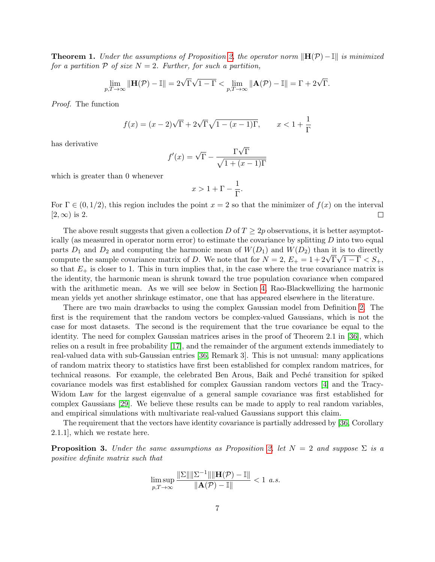**Theorem 1.** Under the assumptions of Proposition [2,](#page-5-1) the operator norm  $\|\mathbf{H}(P)-\mathbf{I}\|$  is minimized for a partition  $P$  of size  $N = 2$ . Further, for such a partition,

$$
\lim_{p,T\to\infty} \|\mathbf{H}(\mathcal{P}) - \mathbb{I}\| = 2\sqrt{\Gamma}\sqrt{1-\Gamma} < \lim_{p,T\to\infty} \|\mathbf{A}(\mathcal{P}) - \mathbb{I}\| = \Gamma + 2\sqrt{\Gamma}.
$$

Proof. The function

$$
f(x) = (x - 2)\sqrt{\Gamma} + 2\sqrt{\Gamma}\sqrt{1 - (x - 1)\Gamma}, \qquad x < 1 + \frac{1}{\Gamma}
$$

has derivative

$$
f'(x) = \sqrt{\Gamma} - \frac{\Gamma \sqrt{\Gamma}}{\sqrt{1 + (x - 1)\Gamma}}
$$

which is greater than 0 whenever

$$
x>1+\Gamma-\frac{1}{\Gamma}.
$$

For  $\Gamma \in (0, 1/2)$ , this region includes the point  $x = 2$  so that the minimizer of  $f(x)$  on the interval  $[2, \infty)$  is 2.  $\Box$ 

The above result suggests that given a collection D of  $T \geq 2p$  observations, it is better asymptotically (as measured in operator norm error) to estimate the covariance by splitting D into two equal parts  $D_1$  and  $D_2$  and computing the harmonic mean of  $W(D_1)$  and  $W(D_2)$  than it is to directly parts  $D_1$  and  $D_2$  and computing the narmonic mean of  $W(D_1)$  and  $W(D_2)$  than it is to directly compute the sample covariance matrix of D. We note that for  $N = 2$ ,  $E_+ = 1 + 2\sqrt{\Gamma}\sqrt{1-\Gamma} < S_+$ , so that  $E_{+}$  is closer to 1. This in turn implies that, in the case where the true covariance matrix is the identity, the harmonic mean is shrunk toward the true population covariance when compared with the arithmetic mean. As we will see below in Section [4,](#page-8-0) Rao-Blackwellizing the harmonic mean yields yet another shrinkage estimator, one that has appeared elsewhere in the literature.

There are two main drawbacks to using the complex Gaussian model from Definition [2.](#page-3-0) The first is the requirement that the random vectors be complex-valued Gaussians, which is not the case for most datasets. The second is the requirement that the true covariance be equal to the identity. The need for complex Gaussian matrices arises in the proof of Theorem 2.1 in [\[36\]](#page-22-5), which relies on a result in free probability [\[17\]](#page-21-14), and the remainder of the argument extends immediately to real-valued data with sub-Gaussian entries [\[36,](#page-22-5) Remark 3]. This is not unusual: many applications of random matrix theory to statistics have first been established for complex random matrices, for technical reasons. For example, the celebrated Ben Arous, Baik and Peché transition for spiked covariance models was first established for complex Gaussian random vectors [\[4\]](#page-20-10) and the Tracy-Widom Law for the largest eigenvalue of a general sample covariance was first established for complex Gaussians [\[29\]](#page-22-11). We believe these results can be made to apply to real random variables, and empirical simulations with multivariate real-valued Gaussians support this claim.

The requirement that the vectors have identity covariance is partially addressed by [\[36,](#page-22-5) Corollary 2.1.1], which we restate here.

<span id="page-6-0"></span>**Proposition 3.** Under the same assumptions as Proposition [2,](#page-5-1) let  $N = 2$  and suppose  $\Sigma$  is a positive definite matrix such that

$$
\limsup_{p,T\to\infty}\frac{\|\Sigma\|\|\Sigma^{-1}\|\|\mathbf{H}(\mathcal{P})-\mathbb{I}\|}{\|\mathbf{A}(\mathcal{P})-\mathbb{I}\|}<1\ \ a.s.
$$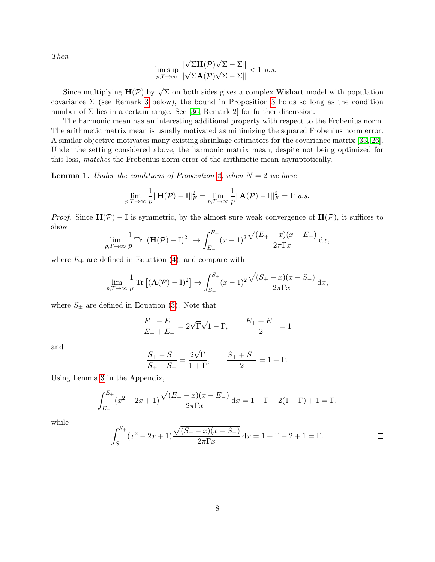Then

$$
\limsup_{p,T\to\infty} \frac{\|\sqrt{\Sigma}\mathbf{H}(\mathcal{P})\sqrt{\Sigma} - \Sigma\|}{\|\sqrt{\Sigma}\mathbf{A}(\mathcal{P})\sqrt{\Sigma} - \Sigma\|} < 1 \text{ a.s.}
$$

Since multiplying  $\mathbf{H}(\mathcal{P})$  by  $\sqrt{\Sigma}$  on both sides gives a complex Wishart model with population covariance  $\Sigma$  (see Remark [3](#page-6-0) below), the bound in Proposition 3 holds so long as the condition number of  $\Sigma$  lies in a certain range. See [\[36,](#page-22-5) Remark 2] for further discussion.

The harmonic mean has an interesting additional property with respect to the Frobenius norm. The arithmetic matrix mean is usually motivated as minimizing the squared Frobenius norm error. A similar objective motivates many existing shrinkage estimators for the covariance matrix [\[33,](#page-22-8) [26\]](#page-21-8). Under the setting considered above, the harmonic matrix mean, despite not being optimized for this loss, matches the Frobenius norm error of the arithmetic mean asymptotically.

**Lemma 1.** Under the conditions of Proposition [2,](#page-5-1) when  $N = 2$  we have

$$
\lim_{p,T\to\infty}\frac{1}{p}\|\mathbf{H}(\mathcal{P})-\mathbb{I}\|_F^2=\lim_{p,T\to\infty}\frac{1}{p}\|\mathbf{A}(\mathcal{P})-\mathbb{I}\|_F^2=\Gamma\,\,a.s.
$$

*Proof.* Since  $H(\mathcal{P}) - \mathbb{I}$  is symmetric, by the almost sure weak convergence of  $H(\mathcal{P})$ , it suffices to show

$$
\lim_{p,T\to\infty}\frac{1}{p}\operatorname{Tr}\left[({\bf H}(\mathcal{P})-\mathbb{I})^2\right]\to\int_{E_-}^{E_+}(x-1)^2\frac{\sqrt{(E_+-x)(x-E_-)}}{2\pi\Gamma x}\,\mathrm{d}x,
$$

where  $E_{\pm}$  are defined in Equation [\(4\)](#page-5-2), and compare with

$$
\lim_{p,T \to \infty} \frac{1}{p} \operatorname{Tr} \left[ (\mathbf{A}(\mathcal{P}) - \mathbb{I})^2 \right] \to \int_{S_-}^{S_+} (x - 1)^2 \frac{\sqrt{(S_+ - x)(x - S_-)}}{2\pi \Gamma x} dx,
$$

where  $S_{\pm}$  are defined in Equation [\(3\)](#page-5-3). Note that

$$
\frac{E_+-E_-}{E_++E_-}=2\sqrt{\Gamma}\sqrt{1-\Gamma},\qquad \frac{E_++E_-}{2}=1
$$

and

$$
\frac{S_{+} - S_{-}}{S_{+} + S_{-}} = \frac{2\sqrt{\Gamma}}{1 + \Gamma}, \qquad \frac{S_{+} + S_{-}}{2} = 1 + \Gamma.
$$

Using Lemma [3](#page-23-5) in the Appendix,

$$
\int_{E_{-}}^{E_{+}} (x^{2} - 2x + 1) \frac{\sqrt{(E_{+} - x)(x - E_{-})}}{2\pi \Gamma x} dx = 1 - \Gamma - 2(1 - \Gamma) + 1 = \Gamma,
$$

while

$$
\int_{S_-}^{S_+} (x^2 - 2x + 1) \frac{\sqrt{(S_+ - x)(x - S_-)}}{2\pi \Gamma x} dx = 1 + \Gamma - 2 + 1 = \Gamma.
$$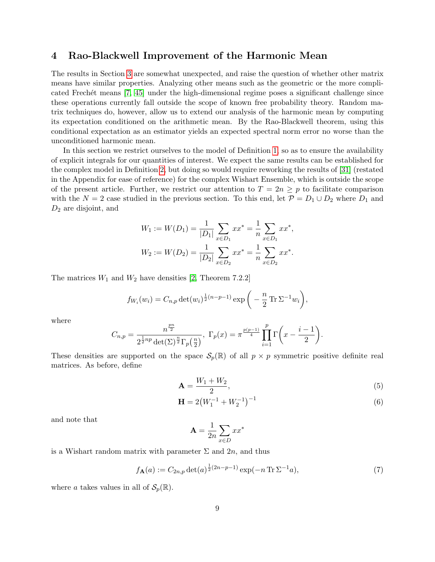# <span id="page-8-0"></span>4 Rao-Blackwell Improvement of the Harmonic Mean

The results in Section [3](#page-4-0) are somewhat unexpected, and raise the question of whether other matrix means have similar properties. Analyzing other means such as the geometric or the more complicated Frechét means  $[7, 45]$  $[7, 45]$  under the high-dimensional regime poses a significant challenge since these operations currently fall outside the scope of known free probability theory. Random matrix techniques do, however, allow us to extend our analysis of the harmonic mean by computing its expectation conditioned on the arithmetic mean. By the Rao-Blackwell theorem, using this conditional expectation as an estimator yields an expected spectral norm error no worse than the unconditioned harmonic mean.

In this section we restrict ourselves to the model of Definition [1,](#page-2-1) so as to ensure the availability of explicit integrals for our quantities of interest. We expect the same results can be established for the complex model in Definition [2,](#page-3-0) but doing so would require reworking the results of [\[31\]](#page-22-12) (restated in the Appendix for ease of reference) for the complex Wishart Ensemble, which is outside the scope of the present article. Further, we restrict our attention to  $T = 2n \geq p$  to facilitate comparison with the  $N = 2$  case studied in the previous section. To this end, let  $\mathcal{P} = D_1 \cup D_2$  where  $D_1$  and  $D_2$  are disjoint, and

$$
W_1 := W(D_1) = \frac{1}{|D_1|} \sum_{x \in D_1} x x^* = \frac{1}{n} \sum_{x \in D_1} x x^*,
$$
  

$$
W_2 := W(D_2) = \frac{1}{|D_2|} \sum_{x \in D_2} x x^* = \frac{1}{n} \sum_{x \in D_2} x x^*.
$$

The matrices  $W_1$  and  $W_2$  have densities [\[2,](#page-20-3) Theorem 7.2.2]

$$
f_{W_i}(w_i) = C_{n,p} \det(w_i)^{\frac{1}{2}(n-p-1)} \exp\left(-\frac{n}{2} \operatorname{Tr} \Sigma^{-1} w_i\right),
$$

where

$$
C_{n,p} = \frac{n^{\frac{pn}{2}}}{2^{\frac{1}{2}np} \det(\Sigma)^{\frac{n}{2}} \Gamma_p(\frac{n}{2})}, \ \Gamma_p(x) = \pi^{\frac{p(p-1)}{4}} \prod_{i=1}^p \Gamma\left(x - \frac{i-1}{2}\right).
$$

These densities are supported on the space  $\mathcal{S}_p(\mathbb{R})$  of all  $p \times p$  symmetric positive definite real matrices. As before, define

$$
\mathbf{A} = \frac{W_1 + W_2}{2},\tag{5}
$$

$$
\mathbf{H} = 2\left(W_1^{-1} + W_2^{-1}\right)^{-1} \tag{6}
$$

and note that

$$
\mathbf{A} = \frac{1}{2n} \sum_{x \in D} x x^*
$$

is a Wishart random matrix with parameter  $\Sigma$  and  $2n$ , and thus

<span id="page-8-1"></span>
$$
f_{\mathbf{A}}(a) := C_{2n,p} \det(a)^{\frac{1}{2}(2n-p-1)} \exp(-n \operatorname{Tr} \Sigma^{-1} a), \tag{7}
$$

where a takes values in all of  $\mathcal{S}_p(\mathbb{R})$ .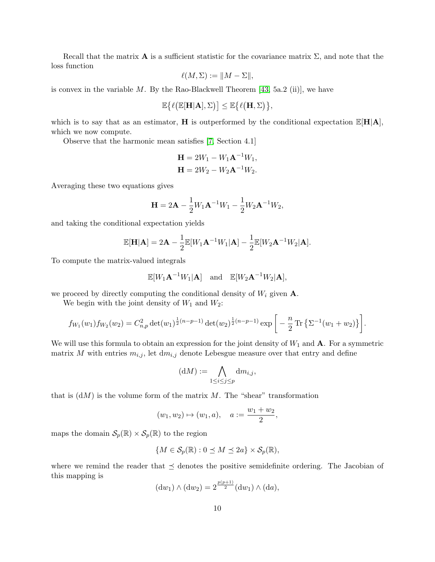Recall that the matrix **A** is a sufficient statistic for the covariance matrix  $\Sigma$ , and note that the loss function

$$
\ell(M, \Sigma) := ||M - \Sigma||,
$$

is convex in the variable  $M$ . By the Rao-Blackwell Theorem [\[43,](#page-22-13) 5a.2 (ii)], we have

$$
\mathbb{E}\big\{\ell\big(\mathbb{E}[\mathbf{H}|\mathbf{A}],\Sigma\big)\big]\leq \mathbb{E}\big\{\ell\big(\mathbf{H},\Sigma\big)\big\},
$$

which is to say that as an estimator, **H** is outperformed by the conditional expectation  $\mathbb{E}[H|A]$ , which we now compute.

Observe that the harmonic mean satisfies [\[7,](#page-20-1) Section 4.1]

$$
H = 2W_1 - W_1A^{-1}W_1,
$$
  

$$
H = 2W_2 - W_2A^{-1}W_2.
$$

Averaging these two equations gives

$$
\mathbf{H} = 2\mathbf{A} - \frac{1}{2}W_1\mathbf{A}^{-1}W_1 - \frac{1}{2}W_2\mathbf{A}^{-1}W_2,
$$

and taking the conditional expectation yields

$$
\mathbb{E}[\mathbf{H}|\mathbf{A}] = 2\mathbf{A} - \frac{1}{2} \mathbb{E}[W_1 \mathbf{A}^{-1} W_1 | \mathbf{A}] - \frac{1}{2} \mathbb{E}[W_2 \mathbf{A}^{-1} W_2 | \mathbf{A}].
$$

To compute the matrix-valued integrals

$$
\mathbb{E}[W_1\mathbf{A}^{-1}W_1|\mathbf{A}] \quad \text{and} \quad \mathbb{E}[W_2\mathbf{A}^{-1}W_2|\mathbf{A}],
$$

we proceed by directly computing the conditional density of  $W_i$  given  $\mathbf{A}$ .

We begin with the joint density of  $W_1$  and  $W_2$ :

$$
f_{W_1}(w_1)f_{W_2}(w_2) = C_{n,p}^2 \det(w_1)^{\frac{1}{2}(n-p-1)} \det(w_2)^{\frac{1}{2}(n-p-1)} \exp\bigg[-\frac{n}{2} \operatorname{Tr} \big\{ \Sigma^{-1}(w_1+w_2) \big\} \bigg].
$$

We will use this formula to obtain an expression for the joint density of  $W_1$  and  $A$ . For a symmetric matrix M with entries  $m_{i,j}$ , let  $dm_{i,j}$  denote Lebesgue measure over that entry and define

$$
(\mathrm{d}M) := \bigwedge_{1 \le i \le j \le p} \mathrm{d}m_{i,j},
$$

that is  $(dM)$  is the volume form of the matrix M. The "shear" transformation

$$
(w_1, w_2) \mapsto (w_1, a), \quad a := \frac{w_1 + w_2}{2},
$$

maps the domain  $\mathcal{S}_p(\mathbb{R}) \times \mathcal{S}_p(\mathbb{R})$  to the region

$$
\{M\in\mathcal{S}_p(\mathbb{R}):0\preceq M\preceq 2a\}\times\mathcal{S}_p(\mathbb{R}),
$$

where we remind the reader that  $\preceq$  denotes the positive semidefinite ordering. The Jacobian of this mapping is

$$
(dw_1) \wedge (dw_2) = 2^{\frac{p(p+1)}{2}}(dw_1) \wedge (da),
$$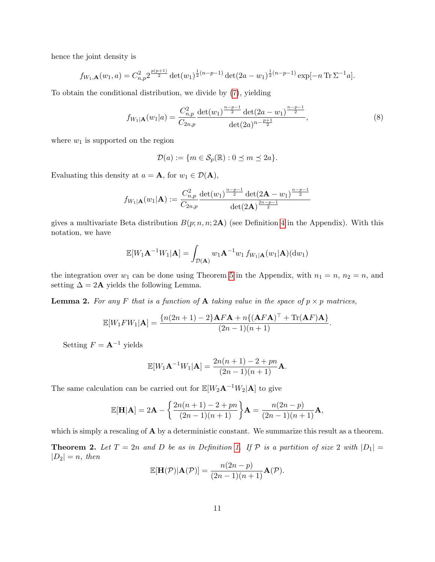hence the joint density is

$$
f_{W_1,\mathbf{A}}(w_1,a) = C_{n,p}^2 2^{\frac{p(p+1)}{2}} \det(w_1)^{\frac{1}{2}(n-p-1)} \det(2a-w_1)^{\frac{1}{2}(n-p-1)} \exp[-n \operatorname{Tr} \Sigma^{-1} a].
$$

To obtain the conditional distribution, we divide by [\(7\)](#page-8-1), yielding

$$
f_{W_1|\mathbf{A}}(w_1|a) = \frac{C_{n,p}^2}{C_{2n,p}} \frac{\det(w_1)^{\frac{n-p-1}{2}} \det(2a - w_1)^{\frac{n-p-1}{2}}}{\det(2a)^{n-\frac{p+1}{2}}},\tag{8}
$$

where  $w_1$  is supported on the region

$$
\mathcal{D}(a) := \{ m \in \mathcal{S}_p(\mathbb{R}) : 0 \le m \le 2a \}.
$$

Evaluating this density at  $a = \mathbf{A}$ , for  $w_1 \in \mathcal{D}(\mathbf{A})$ ,

$$
f_{W_1|\mathbf{A}}(w_1|\mathbf{A}) := \frac{C_{n,p}^2}{C_{2n,p}} \frac{\det(w_1)^{\frac{n-p-1}{2}} \det(2\mathbf{A} - w_1)^{\frac{n-p-1}{2}}}{\det(2\mathbf{A})^{\frac{2n-p-1}{2}}}
$$

gives a multivariate Beta distribution  $B(p; n, n; 2\mathbf{A})$  (see Definition [4](#page-24-0) in the Appendix). With this notation, we have

$$
\mathbb{E}[W_1 \mathbf{A}^{-1} W_1 | \mathbf{A}] = \int_{\mathcal{D}(\mathbf{A})} w_1 \mathbf{A}^{-1} w_1 f_{W_1 | \mathbf{A}}(w_1 | \mathbf{A})(dw_1)
$$

the integration over  $w_1$  can be done using Theorem [5](#page-24-1) in the Appendix, with  $n_1 = n$ ,  $n_2 = n$ , and setting  $\Delta = 2$ **A** yields the following Lemma.

<span id="page-10-0"></span>**Lemma 2.** For any F that is a function of A taking value in the space of  $p \times p$  matrices,

$$
\mathbb{E}[W_1 F W_1 | \mathbf{A}] = \frac{\{n(2n+1)-2\}\mathbf{A} F \mathbf{A} + n\{(\mathbf{A} F \mathbf{A})^\top + \text{Tr}(\mathbf{A} F) \mathbf{A}\}}{(2n-1)(n+1)}.
$$

Setting  $F = \mathbf{A}^{-1}$  yields

$$
\mathbb{E}[W_1 \mathbf{A}^{-1} W_1 | \mathbf{A}] = \frac{2n(n+1) - 2 + pn}{(2n-1)(n+1)} \mathbf{A}.
$$

The same calculation can be carried out for  $\mathbb{E}[W_2\mathbf{A}^{-1}W_2|\mathbf{A}]$  to give

$$
\mathbb{E}[\mathbf{H}|\mathbf{A}] = 2\mathbf{A} - \left\{ \frac{2n(n+1) - 2 + pn}{(2n-1)(n+1)} \right\} \mathbf{A} = \frac{n(2n-p)}{(2n-1)(n+1)} \mathbf{A},
$$

which is simply a rescaling of **A** by a deterministic constant. We summarize this result as a theorem.

<span id="page-10-1"></span>**Theorem 2.** Let  $T = 2n$  and D be as in Definition [1.](#page-2-1) If P is a partition of size 2 with  $|D_1|$  =  $|D_2| = n$ , then

$$
\mathbb{E}[\mathbf{H}(\mathcal{P})|\mathbf{A}(\mathcal{P})] = \frac{n(2n-p)}{(2n-1)(n+1)}\mathbf{A}(\mathcal{P}).
$$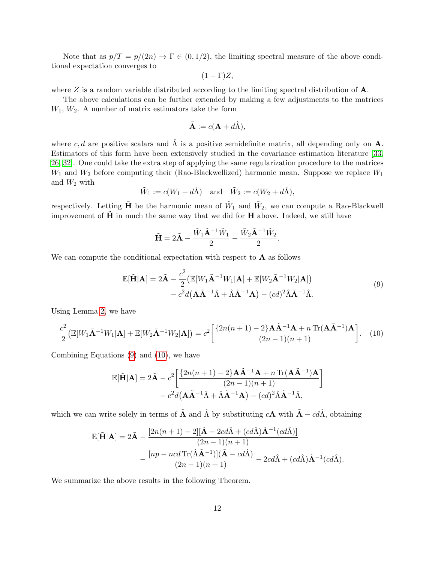Note that as  $p/T = p/(2n) \rightarrow \Gamma \in (0, 1/2)$ , the limiting spectral measure of the above conditional expectation converges to

$$
(1-\Gamma)Z,
$$

where  $Z$  is a random variable distributed according to the limiting spectral distribution of  $A$ .

The above calculations can be further extended by making a few adjustments to the matrices  $W_1, W_2$ . A number of matrix estimators take the form

$$
\tilde{\mathbf{A}} := c(\mathbf{A} + d\hat{\Lambda}),
$$

where c, d are positive scalars and  $\hat{\Lambda}$  is a positive semidefinite matrix, all depending only on **A**. Estimators of this form have been extensively studied in the covariance estimation literature [\[33,](#page-22-8) [26,](#page-21-8) [32\]](#page-22-14). One could take the extra step of applying the same regularization procedure to the matrices  $W_1$  and  $W_2$  before computing their (Rao-Blackwellized) harmonic mean. Suppose we replace  $W_1$ and  $W_2$  with

$$
\tilde{W}_1 := c(W_1 + d\hat{\Lambda})
$$
 and  $\tilde{W}_2 := c(W_2 + d\hat{\Lambda}),$ 

respectively. Letting  $\tilde{H}$  be the harmonic mean of  $\tilde{W}_1$  and  $\tilde{W}_2$ , we can compute a Rao-Blackwell improvement of  $\tilde{H}$  in much the same way that we did for  $H$  above. Indeed, we still have

$$
\tilde{\mathbf{H}} = 2\tilde{\mathbf{A}} - \frac{\tilde{W}_1 \tilde{\mathbf{A}}^{-1} \tilde{W}_1}{2} - \frac{\tilde{W}_2 \tilde{\mathbf{A}}^{-1} \tilde{W}_2}{2}
$$

We can compute the conditional expectation with respect to  $A$  as follows

<span id="page-11-0"></span>
$$
\mathbb{E}[\tilde{\mathbf{H}}|\mathbf{A}] = 2\tilde{\mathbf{A}} - \frac{c^2}{2} \left( \mathbb{E}[W_1\tilde{\mathbf{A}}^{-1}W_1|\mathbf{A}] + \mathbb{E}[W_2\tilde{\mathbf{A}}^{-1}W_2|\mathbf{A}] \right) - c^2 d(\mathbf{A}\tilde{\mathbf{A}}^{-1}\hat{\Lambda} + \hat{\Lambda}\tilde{\mathbf{A}}^{-1}\mathbf{A}) - (cd)^2 \hat{\Lambda}\tilde{\mathbf{A}}^{-1}\hat{\Lambda}.
$$
\n(9)

.

Using Lemma [2,](#page-10-0) we have

<span id="page-11-1"></span>
$$
\frac{c^2}{2}\left(\mathbb{E}[W_1\tilde{\mathbf{A}}^{-1}W_1|\mathbf{A}] + \mathbb{E}[W_2\tilde{\mathbf{A}}^{-1}W_2|\mathbf{A}]\right) = c^2 \left[\frac{\left\{2n(n+1) - 2\right\}\mathbf{A}\tilde{\mathbf{A}}^{-1}\mathbf{A} + n\operatorname{Tr}(\mathbf{A}\tilde{\mathbf{A}}^{-1})\mathbf{A}}{(2n-1)(n+1)}\right].\tag{10}
$$

Combining Equations [\(9\)](#page-11-0) and [\(10\)](#page-11-1), we have

$$
\mathbb{E}[\tilde{\mathbf{H}}|\mathbf{A}] = 2\tilde{\mathbf{A}} - c^2 \left[ \frac{\{2n(n+1) - 2\} \mathbf{A} \tilde{\mathbf{A}}^{-1} \mathbf{A} + n \operatorname{Tr}(\mathbf{A} \tilde{\mathbf{A}}^{-1}) \mathbf{A}}{(2n-1)(n+1)} - c^2 d(\mathbf{A} \tilde{\mathbf{A}}^{-1} \hat{\mathbf{A}} + \hat{\mathbf{A}} \tilde{\mathbf{A}}^{-1} \mathbf{A}) - (cd)^2 \hat{\mathbf{A}} \tilde{\mathbf{A}}^{-1} \hat{\mathbf{A}},
$$

which we can write solely in terms of  $\tilde{A}$  and  $\hat{\Lambda}$  by substituting  $cA$  with  $\tilde{A} - cd\hat{\Lambda}$ , obtaining

$$
\mathbb{E}[\tilde{\mathbf{H}}|\mathbf{A}] = 2\tilde{\mathbf{A}} - \frac{[2n(n+1) - 2][\tilde{\mathbf{A}} - 2cd\hat{\Lambda} + (cd\hat{\Lambda})\tilde{\mathbf{A}}^{-1}(cd\hat{\Lambda})]}{(2n-1)(n+1)} - \frac{[np - ncd\operatorname{Tr}(\hat{\Lambda}\tilde{\mathbf{A}}^{-1})](\tilde{\mathbf{A}} - cd\hat{\Lambda})}{(2n-1)(n+1)} - 2cd\hat{\Lambda} + (cd\hat{\Lambda})\tilde{\mathbf{A}}^{-1}(cd\hat{\Lambda}).
$$

We summarize the above results in the following Theorem.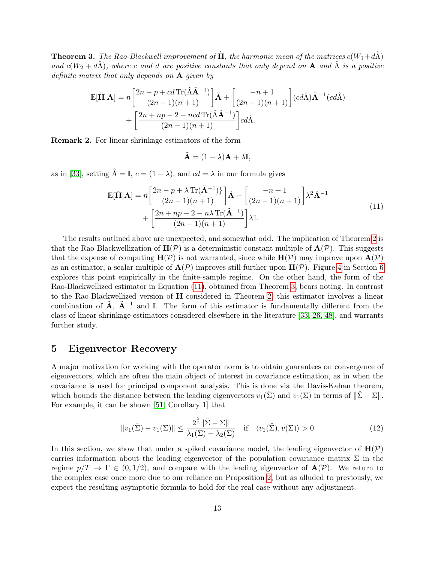<span id="page-12-2"></span>**Theorem 3.** The Rao-Blackwell improvement of  $\tilde{H}$ , the harmonic mean of the matrices  $c(W_1+d\hat{\Lambda})$ and  $c(W_2 + d\hat{\Lambda})$ , where c and d are positive constants that only depend on **A** and  $\hat{\Lambda}$  is a positive definite matrix that only depends on A given by

$$
\mathbb{E}[\tilde{\mathbf{H}}|\mathbf{A}] = n \left[ \frac{2n - p + cd \operatorname{Tr}(\hat{\Lambda} \tilde{\mathbf{A}}^{-1})}{(2n - 1)(n + 1)} \right] \tilde{\mathbf{A}} + \left[ \frac{-n + 1}{(2n - 1)(n + 1)} \right] (cd\hat{\Lambda}) \tilde{\mathbf{A}}^{-1} (cd\hat{\Lambda}) + \left[ \frac{2n + np - 2 - ncd \operatorname{Tr}(\hat{\Lambda} \tilde{\mathbf{A}}^{-1})}{(2n - 1)(n + 1)} \right] cd\hat{\Lambda}.
$$

Remark 2. For linear shrinkage estimators of the form

$$
\tilde{\mathbf{A}} = (1 - \lambda)\mathbf{A} + \lambda \mathbb{I},
$$

as in [\[33\]](#page-22-8), setting  $\hat{\Lambda} = \mathbb{I}$ ,  $c = (1 - \lambda)$ , and  $cd = \lambda$  in our formula gives

<span id="page-12-1"></span>
$$
\mathbb{E}[\tilde{\mathbf{H}}|\mathbf{A}] = n \left[ \frac{2n - p + \lambda \operatorname{Tr}(\tilde{\mathbf{A}}^{-1})}{(2n - 1)(n + 1)} \right] \tilde{\mathbf{A}} + \left[ \frac{-n + 1}{(2n - 1)(n + 1)} \right] \lambda^2 \tilde{\mathbf{A}}^{-1} + \left[ \frac{2n + np - 2 - n\lambda \operatorname{Tr}(\tilde{\mathbf{A}}^{-1})}{(2n - 1)(n + 1)} \right] \lambda \mathbb{I}.
$$
\n(11)

The results outlined above are unexpected, and somewhat odd. The implication of Theorem [2](#page-10-1) is that the Rao-Blackwellization of  $H(\mathcal{P})$  is a deterministic constant multiple of  $A(\mathcal{P})$ . This suggests that the expense of computing  $H(\mathcal{P})$  is not warranted, since while  $H(\mathcal{P})$  may improve upon  $A(\mathcal{P})$ as an estimator, a scalar multiple of  $\mathbf{A}(\mathcal{P})$  improves still further upon  $\mathbf{H}(\mathcal{P})$ . Figure [4](#page-18-0) in Section [6](#page-16-0) explores this point empirically in the finite-sample regime. On the other hand, the form of the Rao-Blackwellized estimator in Equation [\(11\)](#page-12-1), obtained from Theorem [3,](#page-12-2) bears noting. In contrast to the Rao-Blackwellized version of H considered in Theorem [2,](#page-10-1) this estimator involves a linear combination of  $\tilde{A}$ ,  $\tilde{A}^{-1}$  and I. The form of this estimator is fundamentally different from the class of linear shrinkage estimators considered elsewhere in the literature [\[33,](#page-22-8) [26,](#page-21-8) [48\]](#page-23-3), and warrants further study.

### <span id="page-12-0"></span>5 Eigenvector Recovery

A major motivation for working with the operator norm is to obtain guarantees on convergence of eigenvectors, which are often the main object of interest in covariance estimation, as in when the covariance is used for principal component analysis. This is done via the Davis-Kahan theorem, which bounds the distance between the leading eigenvectors  $v_1(\hat{\Sigma})$  and  $v_1(\Sigma)$  in terms of  $\|\hat{\Sigma} - \Sigma\|$ . For example, it can be shown [\[51,](#page-23-6) Corollary 1] that

<span id="page-12-3"></span>
$$
||v_1(\hat{\Sigma}) - v_1(\Sigma)|| \le \frac{2^{\frac{3}{2}}||\hat{\Sigma} - \Sigma||}{\lambda_1(\Sigma) - \lambda_2(\Sigma)} \quad \text{if} \quad \langle v_1(\hat{\Sigma}), v(\Sigma) \rangle > 0 \tag{12}
$$

In this section, we show that under a spiked covariance model, the leading eigenvector of  $H(\mathcal{P})$ carries information about the leading eigenvector of the population covariance matrix  $\Sigma$  in the regime  $p/T \to \Gamma \in (0, 1/2)$ , and compare with the leading eigenvector of  $\mathbf{A}(\mathcal{P})$ . We return to the complex case once more due to our reliance on Proposition [2,](#page-5-1) but as alluded to previously, we expect the resulting asymptotic formula to hold for the real case without any adjustment.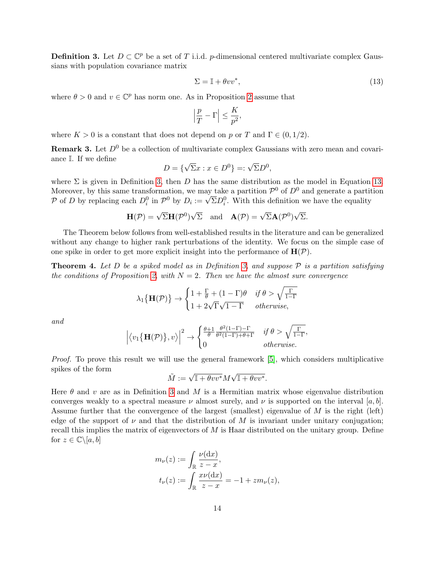<span id="page-13-1"></span>**Definition 3.** Let  $D \subset \mathbb{C}^p$  be a set of T i.i.d. p-dimensional centered multivariate complex Gaussians with population covariance matrix

<span id="page-13-2"></span>
$$
\Sigma = \mathbb{I} + \theta v v^*,\tag{13}
$$

where  $\theta > 0$  and  $v \in \mathbb{C}^p$  has norm one. As in Proposition [2](#page-5-1) assume that

$$
\left|\frac{p}{T}-\Gamma\right|\leq \frac{K}{p^2},
$$

where  $K > 0$  is a constant that does not depend on p or T and  $\Gamma \in (0, 1/2)$ .

<span id="page-13-0"></span>**Remark 3.** Let  $D^0$  be a collection of multivariate complex Gaussians with zero mean and covariance I. If we define √

$$
D = \{\sqrt{\Sigma}x : x \in D^0\} =: \sqrt{\Sigma}D^0,
$$

where  $\Sigma$  is given in Definition [3,](#page-13-1) then D has the same distribution as the model in Equation [13.](#page-13-2) Moreover, by this same transformation, we may take a partition  $\mathcal{P}^0$  of  $D^0$  and generate a partition Moreover, by this same transformation, we may take a partition  $P^{\circ}$  or  $D^{\circ}$  and generate a partition  $P \circ f D$  by replacing each  $D_i^0$  in  $\mathcal{P}^0$  by  $D_i := \sqrt{\Sigma} D_i^0$ . With this definition we have the equality

$$
\mathbf{H}(\mathcal{P}) = \sqrt{\Sigma} \mathbf{H}(\mathcal{P}^0) \sqrt{\Sigma} \text{ and } \mathbf{A}(\mathcal{P}) = \sqrt{\Sigma} \mathbf{A}(\mathcal{P}^0) \sqrt{\Sigma}.
$$

The Theorem below follows from well-established results in the literature and can be generalized without any change to higher rank perturbations of the identity. We focus on the simple case of one spike in order to get more explicit insight into the performance of  $\mathbf{H}(\mathcal{P})$ .

<span id="page-13-3"></span>**Theorem 4.** Let D be a spiked model as in Definition [3,](#page-13-1) and suppose  $P$  is a partition satisfying the conditions of Proposition [2,](#page-5-1) with  $N = 2$ . Then we have the almost sure convergence

$$
\lambda_1\{\mathbf{H}(\mathcal{P})\} \to \begin{cases} 1 + \frac{\Gamma}{\theta} + (1 - \Gamma)\theta & \text{if } \theta > \sqrt{\frac{\Gamma}{1 - \Gamma}} \\ 1 + 2\sqrt{\Gamma}\sqrt{1 - \Gamma} & \text{otherwise,} \end{cases}
$$

and

$$
\left| \langle v_1 \{ \mathbf{H}(\mathcal{P}) \}, v \rangle \right|^2 \to \begin{cases} \frac{\theta+1}{\theta} \frac{\theta^2 (1-\Gamma) - \Gamma}{\theta^2 (1-\Gamma) + \theta + \Gamma} & \text{if } \theta > \sqrt{\frac{\Gamma}{1-\Gamma}}, \\ 0 & \text{otherwise.} \end{cases}
$$

Proof. To prove this result we will use the general framework [\[5\]](#page-20-11), which considers multiplicative spikes of the form √

$$
\tilde{M} := \sqrt{\mathbb{I} + \theta vv^*} M \sqrt{\mathbb{I} + \theta vv^*}.
$$

Here  $\theta$  and v are as in Definition [3](#page-13-1) and M is a Hermitian matrix whose eigenvalue distribution converges weakly to a spectral measure  $\nu$  almost surely, and  $\nu$  is supported on the interval [a, b]. Assume further that the convergence of the largest (smallest) eigenvalue of M is the right (left) edge of the support of  $\nu$  and that the distribution of M is invariant under unitary conjugation; recall this implies the matrix of eigenvectors of  $M$  is Haar distributed on the unitary group. Define for  $z \in \mathbb{C} \backslash [a, b]$ 

$$
m_{\nu}(z) := \int_{\mathbb{R}} \frac{\nu(\mathrm{d}x)}{z - x},
$$
  

$$
t_{\nu}(z) := \int_{\mathbb{R}} \frac{x\nu(\mathrm{d}x)}{z - x} = -1 + zm_{\nu}(z),
$$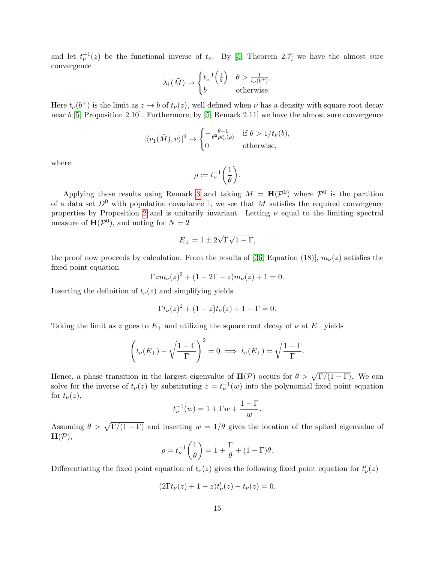and let  $t_{\nu}^{-1}(z)$  be the functional inverse of  $t_{\nu}$ . By [\[5,](#page-20-11) Theorem 2.7] we have the almost sure convergence

$$
\lambda_1(\tilde{M}) \to \begin{cases} t_{\nu}^{-1}\left(\frac{1}{\theta}\right) & \theta > \frac{1}{t_{\nu}(b^+)}; \\ b & \text{otherwise.} \end{cases}
$$

Here  $t_{\nu}(b^+)$  is the limit as  $z \to b$  of  $t_{\nu}(z)$ , well defined when  $\nu$  has a density with square root decay near b [\[5,](#page-20-11) Proposition 2.10]. Furthermore, by [\[5,](#page-20-11) Remark 2.11] we have the almost sure convergence

$$
|\langle v_1(\tilde{M}), v \rangle|^2 \to \begin{cases} -\frac{\theta + 1}{\theta^2 \rho t'_\nu(\rho)} & \text{if } \theta > 1/t_\nu(b), \\ 0 & \text{otherwise}, \end{cases}
$$

where

$$
\rho:=t_\nu^{-1}\bigg(\frac{1}{\theta}\bigg).
$$

Applying these results using Remark [3](#page-13-0) and taking  $M = H(\mathcal{P}^0)$  where  $\mathcal{P}^0$  is the partition of a data set  $D^0$  with population covariance I, we see that M satisfies the required convergence properties by Proposition [2](#page-5-1) and is unitarily invariant. Letting  $\nu$  equal to the limiting spectral measure of  $\mathbf{H}(\mathcal{P}^0)$ , and noting for  $N=2$ 

$$
E_{\pm} = 1 \pm 2\sqrt{\Gamma}\sqrt{1-\Gamma},
$$

the proof now proceeds by calculation. From the results of [\[36,](#page-22-5) Equation (18)],  $m_{\nu}(z)$  satisfies the fixed point equation

$$
\Gamma z m_{\nu}(z)^{2} + (1 - 2\Gamma - z) m_{\nu}(z) + 1 = 0.
$$

Inserting the definition of  $t_{\nu}(z)$  and simplifying yields

$$
\Gamma t_{\nu}(z)^{2} + (1 - z)t_{\nu}(z) + 1 - \Gamma = 0.
$$

Taking the limit as z goes to  $E_+$  and utilizing the square root decay of  $\nu$  at  $E_+$  yields

$$
\left(t_{\nu}(E_{+}) - \sqrt{\frac{1-\Gamma}{\Gamma}}\right)^{2} = 0 \implies t_{\nu}(E_{+}) = \sqrt{\frac{1-\Gamma}{\Gamma}}.
$$

Hence, a phase transition in the largest eigenvalue of  $H(\mathcal{P})$  occurs for  $\theta > \sqrt{\Gamma/(1-\Gamma)}$ . We can solve for the inverse of  $t_{\nu}(z)$  by substituting  $z = t_{\nu}^{-1}(w)$  into the polynomial fixed point equation for  $t_{\nu}(z)$ ,

$$
t_{\nu}^{-1}(w) = 1 + \Gamma w + \frac{1 - \Gamma}{w}.
$$

Assuming  $\theta > \sqrt{\Gamma/(1-\Gamma)}$  and inserting  $w = 1/\theta$  gives the location of the spiked eigenvalue of  $H(\mathcal{P}),$ 

$$
\rho = t_{\nu}^{-1} \left( \frac{1}{\theta} \right) = 1 + \frac{\Gamma}{\theta} + (1 - \Gamma)\theta.
$$

Differentiating the fixed point equation of  $t_{\nu}(z)$  gives the following fixed point equation for  $t'_{\nu}(z)$ 

$$
(2\Gamma t_{\nu}(z) + 1 - z)t_{\nu}'(z) - t_{\nu}(z) = 0.
$$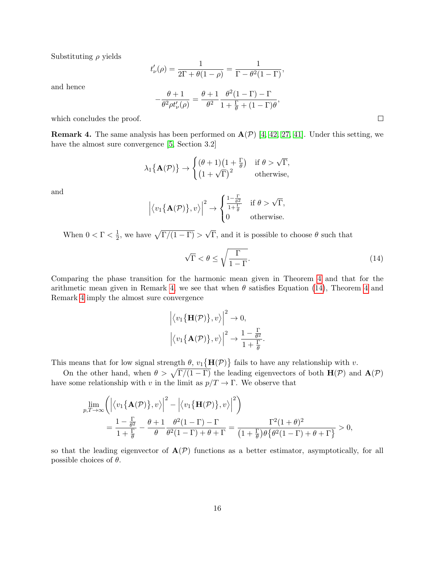Substituting  $\rho$  yields

$$
t'_{\nu}(\rho) = \frac{1}{2\Gamma + \theta(1-\rho)} = \frac{1}{\Gamma - \theta^2(1-\Gamma)},
$$

and hence

$$
-\frac{\theta+1}{\theta^2\rho t'_\nu(\rho)}=\frac{\theta+1}{\theta^2}\frac{\theta^2(1-\Gamma)-\Gamma}{1+\frac{\Gamma}{\theta}+(1-\Gamma)\theta},
$$

which concludes the proof.

<span id="page-15-0"></span>**Remark 4.** The same analysis has been performed on  $A(\mathcal{P})$  [\[4,](#page-20-10) [42,](#page-22-15) [27,](#page-21-15) [41\]](#page-22-16). Under this setting, we have the almost sure convergence [\[5,](#page-20-11) Section 3.2]

$$
\lambda_1\{\mathbf{A}(\mathcal{P})\}\rightarrow\begin{cases}(\theta+1)\left(1+\frac{\Gamma}{\theta}\right) & \text{if }\theta>\sqrt{\Gamma}, \\ \left(1+\sqrt{\Gamma}\right)^2 & \text{otherwise}, \end{cases}
$$

and

$$
\left|\langle v_1\{\mathbf{A}(\mathcal{P})\},v\rangle\right|^2 \to \begin{cases} \frac{1-\frac{\Gamma}{\theta^2}}{1+\frac{\Gamma}{\theta}} & \text{if } \theta > \sqrt{\Gamma}, \\ 0 & \text{otherwise.} \end{cases}
$$

When  $0 < \Gamma < \frac{1}{2}$  $\frac{1}{2}$ , we have  $\sqrt{\Gamma/(1-\Gamma)}$  > √ Γ, and it is possible to choose  $θ$  such that

<span id="page-15-1"></span>
$$
\sqrt{\Gamma} < \theta \le \sqrt{\frac{\Gamma}{1 - \Gamma}}.\tag{14}
$$

Comparing the phase transition for the harmonic mean given in Theorem [4](#page-13-3) and that for the arithmetic mean given in Remark [4,](#page-15-0) we see that when  $\theta$  satisfies Equation [\(14\)](#page-15-1), Theorem [4](#page-13-3) and Remark [4](#page-15-0) imply the almost sure convergence

$$
\left| \langle v_1 \{ \mathbf{H}(\mathcal{P}) \} , v \rangle \right|^2 \to 0,
$$

$$
\left| \langle v_1 \{ \mathbf{A}(\mathcal{P}) \} , v \rangle \right|^2 \to \frac{1 - \frac{\Gamma}{\theta^2}}{1 + \frac{\Gamma}{\theta}}.
$$

This means that for low signal strength  $\theta$ ,  $v_1\{\mathbf{H}(\mathcal{P})\}$  fails to have any relationship with v.

On the other hand, when  $\theta > \sqrt{\Gamma/(1-\Gamma)}$  the leading eigenvectors of both  $H(\mathcal{P})$  and  $A(\mathcal{P})$ have some relationship with v in the limit as  $p/T \to \Gamma$ . We observe that

$$
\lim_{p,T \to \infty} \left( \left| \langle v_1 \{ \mathbf{A}(\mathcal{P}) \} , v \rangle \right|^2 - \left| \langle v_1 \{ \mathbf{H}(\mathcal{P}) \} , v \rangle \right|^2 \right) \n= \frac{1 - \frac{\Gamma}{\theta^2}}{1 + \frac{\Gamma}{\theta}} - \frac{\theta + 1}{\theta} \frac{\theta^2 (1 - \Gamma) - \Gamma}{\theta^2 (1 - \Gamma) + \theta + \Gamma} = \frac{\Gamma^2 (1 + \theta)^2}{(1 + \frac{\Gamma}{\theta}) \theta \{ \theta^2 (1 - \Gamma) + \theta + \Gamma \}} > 0,
$$

so that the leading eigenvector of  $A(\mathcal{P})$  functions as a better estimator, asymptotically, for all possible choices of  $\theta$ .

 $\Box$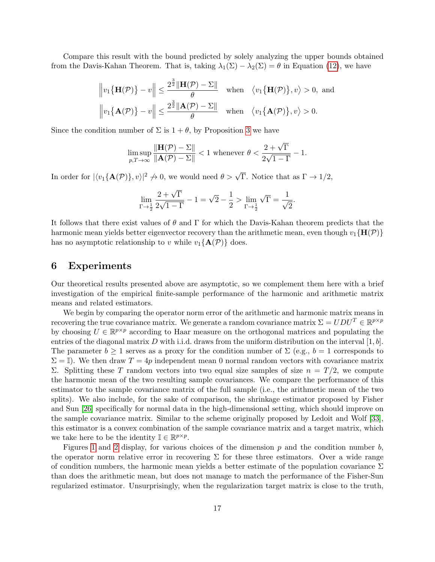Compare this result with the bound predicted by solely analyzing the upper bounds obtained from the Davis-Kahan Theorem. That is, taking  $\lambda_1(\Sigma) - \lambda_2(\Sigma) = \theta$  in Equation [\(12\)](#page-12-3), we have

$$
\left\|v_1\{\mathbf{H}(\mathcal{P})\}-v\right\| \le \frac{2^{\frac{3}{2}}\|\mathbf{H}(\mathcal{P}) - \Sigma\|}{\theta} \quad \text{when} \quad \langle v_1\{\mathbf{H}(\mathcal{P})\}, v \rangle > 0, \text{ and}
$$

$$
\left\|v_1\{\mathbf{A}(\mathcal{P})\}-v\right\| \le \frac{2^{\frac{3}{2}}\|\mathbf{A}(\mathcal{P}) - \Sigma\|}{\theta} \quad \text{when} \quad \langle v_1\{\mathbf{A}(\mathcal{P})\}, v \rangle > 0.
$$

Since the condition number of  $\Sigma$  is  $1 + \theta$ , by Proposition [3](#page-6-0) we have

$$
\limsup_{p,T\to\infty} \frac{\|\mathbf{H}(\mathcal{P}) - \Sigma\|}{\|\mathbf{A}(\mathcal{P}) - \Sigma\|} < 1
$$
 whenever  $\theta < \frac{2 + \sqrt{\Gamma}}{2\sqrt{1 - \Gamma}} - 1$ .

In order for  $|\langle v_1{\mathbf{A}}(\mathcal{P})\rangle, v\rangle|^2 \to 0$ , we would need  $\theta > \sqrt{\Gamma}$ . Notice that as  $\Gamma \to 1/2$ ,

$$
\lim_{\Gamma \to \frac{1}{2}} \frac{2 + \sqrt{\Gamma}}{2\sqrt{1 - \Gamma}} - 1 = \sqrt{2} - \frac{1}{2} > \lim_{\Gamma \to \frac{1}{2}} \sqrt{\Gamma} = \frac{1}{\sqrt{2}}.
$$

It follows that there exist values of  $\theta$  and  $\Gamma$  for which the Davis-Kahan theorem predicts that the harmonic mean yields better eigenvector recovery than the arithmetic mean, even though  $v_1\{H(\mathcal{P})\}$ has no asymptotic relationship to v while  $v_1\{\mathbf{A}(\mathcal{P})\}$  does.

#### <span id="page-16-0"></span>6 Experiments

Our theoretical results presented above are asymptotic, so we complement them here with a brief investigation of the empirical finite-sample performance of the harmonic and arithmetic matrix means and related estimators.

We begin by comparing the operator norm error of the arithmetic and harmonic matrix means in recovering the true covariance matrix. We generate a random covariance matrix  $\Sigma = U D U^T \in \mathbb{R}^{p \times p}$ by choosing  $U \in \mathbb{R}^{p \times p}$  according to Haar measure on the orthogonal matrices and populating the entries of the diagonal matrix D with i.i.d. draws from the uniform distribution on the interval  $[1, b]$ . The parameter  $b \ge 1$  serves as a proxy for the condition number of  $\Sigma$  (e.g.,  $b = 1$  corresponds to  $\Sigma = \mathbb{I}$ . We then draw  $T = 4p$  independent mean 0 normal random vectors with covariance matrix Σ. Splitting these T random vectors into two equal size samples of size  $n = T/2$ , we compute the harmonic mean of the two resulting sample covariances. We compare the performance of this estimator to the sample covariance matrix of the full sample (i.e., the arithmetic mean of the two splits). We also include, for the sake of comparison, the shrinkage estimator proposed by Fisher and Sun [\[26\]](#page-21-8) specifically for normal data in the high-dimensional setting, which should improve on the sample covariance matrix. Similar to the scheme originally proposed by Ledoit and Wolf [\[33\]](#page-22-8), this estimator is a convex combination of the sample covariance matrix and a target matrix, which we take here to be the identity  $\mathbb{I} \in \mathbb{R}^{p \times p}$ .

Figures [1](#page-17-0) and [2](#page-17-1) display, for various choices of the dimension  $p$  and the condition number  $b$ . the operator norm relative error in recovering  $\Sigma$  for these three estimators. Over a wide range of condition numbers, the harmonic mean yields a better estimate of the population covariance  $\Sigma$ than does the arithmetic mean, but does not manage to match the performance of the Fisher-Sun regularized estimator. Unsurprisingly, when the regularization target matrix is close to the truth,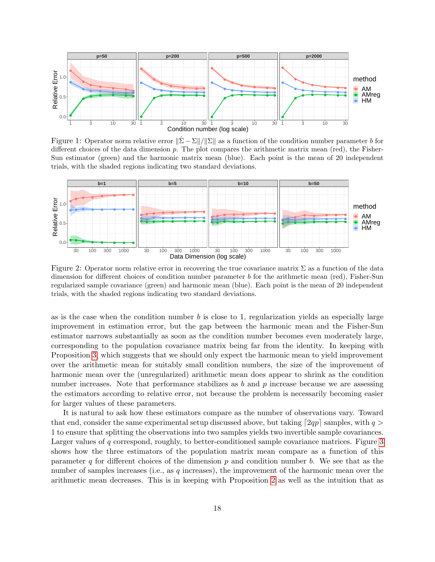

<span id="page-17-0"></span>Figure 1: Operator norm relative error  $\|\hat{\Sigma} - \Sigma\|/\|\Sigma\|$  as a function of the condition number parameter b for different choices of the data dimension p. The plot compares the arithmetic matrix mean (red), the Fisher-Sun estimator (green) and the harmonic matrix mean (blue). Each point is the mean of 20 independent trials, with the shaded regions indicating two standard deviations.



<span id="page-17-1"></span>Figure 2: Operator norm relative error in recovering the true covariance matrix  $\Sigma$  as a function of the data dimension for different choices of condition number parameter b for the arithmetic mean (red), Fisher-Sun regularized sample covariance (green) and harmonic mean (blue). Each point is the mean of 20 independent trials, with the shaded regions indicating two standard deviations.

as is the case when the condition number  $b$  is close to 1, regularization yields an especially large improvement in estimation error, but the gap between the harmonic mean and the Fisher-Sun estimator narrows substantially as soon as the condition number becomes even moderately large, corresponding to the population covariance matrix being far from the identity. In keeping with Proposition [3,](#page-6-0) which suggests that we should only expect the harmonic mean to yield improvement over the arithmetic mean for suitably small condition numbers, the size of the improvement of harmonic mean over the (unregularized) arithmetic mean does appear to shrink as the condition number increases. Note that performance stabilizes as  $b$  and  $p$  increase because we are assessing the estimators according to relative error, not because the problem is necessarily becoming easier for larger values of these parameters.

It is natural to ask how these estimators compare as the number of observations vary. Toward that end, consider the same experimental setup discussed above, but taking  $[2qp]$  samples, with  $q >$ 1 to ensure that splitting the observations into two samples yields two invertible sample covariances. Larger values of q correspond, roughly, to better-conditioned sample covariance matrices. Figure [3](#page-18-1) shows how the three estimators of the population matrix mean compare as a function of this parameter q for different choices of the dimension  $p$  and condition number  $b$ . We see that as the number of samples increases (i.e., as  $q$  increases), the improvement of the harmonic mean over the arithmetic mean decreases. This is in keeping with Proposition [2](#page-5-1) as well as the intuition that as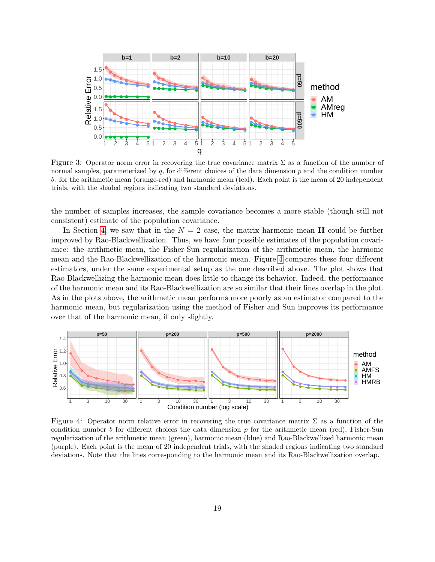

<span id="page-18-1"></span>Figure 3: Operator norm error in recovering the true covariance matrix  $\Sigma$  as a function of the number of normal samples, parameterized by  $q$ , for different choices of the data dimension  $p$  and the condition number b. for the arithmetic mean (orange-red) and harmonic mean (teal). Each point is the mean of 20 independent trials, with the shaded regions indicating two standard deviations.

the number of samples increases, the sample covariance becomes a more stable (though still not consistent) estimate of the population covariance.

In Section [4,](#page-8-0) we saw that in the  $N = 2$  case, the matrix harmonic mean **H** could be further improved by Rao-Blackwellization. Thus, we have four possible estimates of the population covariance: the arithmetic mean, the Fisher-Sun regularization of the arithmetic mean, the harmonic mean and the Rao-Blackwellization of the harmonic mean. Figure [4](#page-18-0) compares these four different estimators, under the same experimental setup as the one described above. The plot shows that Rao-Blackwellizing the harmonic mean does little to change its behavior. Indeed, the performance of the harmonic mean and its Rao-Blackwellization are so similar that their lines overlap in the plot. As in the plots above, the arithmetic mean performs more poorly as an estimator compared to the harmonic mean, but regularization using the method of Fisher and Sun improves its performance over that of the harmonic mean, if only slightly.



<span id="page-18-0"></span>Figure 4: Operator norm relative error in recovering the true covariance matrix  $\Sigma$  as a function of the condition number b for different choices the data dimension  $p$  for the arithmetic mean (red), Fisher-Sun regularization of the arithmetic mean (green), harmonic mean (blue) and Rao-Blackwellized harmonic mean (purple). Each point is the mean of 20 independent trials, with the shaded regions indicating two standard deviations. Note that the lines corresponding to the harmonic mean and its Rao-Blackwellization overlap.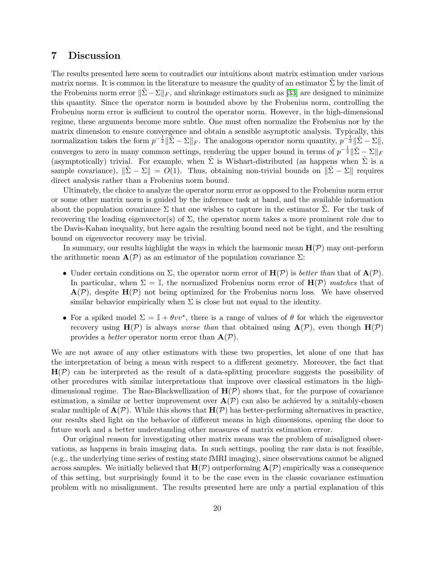# <span id="page-19-0"></span>7 Discussion

The results presented here seem to contradict our intuitions about matrix estimation under various matrix norms. It is common in the literature to measure the quality of an estimator  $\hat{\Sigma}$  by the limit of the Frobenius norm error  $\|\Sigma - \Sigma\|_F$ , and shrinkage estimators such as [\[33\]](#page-22-8) are designed to minimize this quantity. Since the operator norm is bounded above by the Frobenius norm, controlling the Frobenius norm error is sufficient to control the operator norm. However, in the high-dimensional regime, these arguments become more subtle. One must often normalize the Frobenius nor by the matrix dimension to ensure convergence and obtain a sensible asymptotic analysis. Typically, this normalization takes the form  $p^{-\frac{1}{2}} \|\hat{\Sigma} - \Sigma\|_F$ . The analogous operator norm quantity,  $p^{-\frac{1}{2}} \|\hat{\Sigma} - \Sigma\|$ , converges to zero in many common settings, rendering the upper bound in terms of  $p^{-\frac{1}{2}} \|\hat{\Sigma} - \Sigma\|_F$ (asymptotically) trivial. For example, when  $\hat{\Sigma}$  is Wishart-distributed (as happens when  $\hat{\Sigma}$  is a sample covariance),  $\|\Sigma - \Sigma\| = O(1)$ . Thus, obtaining non-trivial bounds on  $\|\Sigma - \Sigma\|$  requires direct analysis rather than a Frobenius norm bound.

Ultimately, the choice to analyze the operator norm error as opposed to the Frobenius norm error or some other matrix norm is guided by the inference task at hand, and the available information about the population covariance  $\Sigma$  that one wishes to capture in the estimator  $\hat{\Sigma}$ . For the task of recovering the leading eigenvector(s) of  $\Sigma$ , the operator norm takes a more prominent role due to the Davis-Kahan inequality, but here again the resulting bound need not be tight, and the resulting bound on eigenvector recovery may be trivial.

In summary, our results highlight the ways in which the harmonic mean  $H(\mathcal{P})$  may out-perform the arithmetic mean  $\mathbf{A}(\mathcal{P})$  as an estimator of the population covariance  $\Sigma$ :

- Under certain conditions on  $\Sigma$ , the operator norm error of  $\mathbf{H}(\mathcal{P})$  is *better than* that of  $\mathbf{A}(\mathcal{P})$ . In particular, when  $\Sigma = \mathbb{I}$ , the normalized Frobenius norm error of  $H(\mathcal{P})$  matches that of  $\mathbf{A}(\mathcal{P})$ , despite  $\mathbf{H}(\mathcal{P})$  not being optimized for the Frobenius norm loss. We have observed similar behavior empirically when  $\Sigma$  is close but not equal to the identity.
- For a spiked model  $\Sigma = \mathbb{I} + \theta vv^*$ , there is a range of values of  $\theta$  for which the eigenvector recovery using  $\mathbf{H}(\mathcal{P})$  is always *worse than* that obtained using  $\mathbf{A}(\mathcal{P})$ , even though  $\mathbf{H}(\mathcal{P})$ provides a *better* operator norm error than  $A(\mathcal{P})$ .

We are not aware of any other estimators with these two properties, let alone of one that has the interpretation of being a mean with respect to a different geometry. Moreover, the fact that  $H(\mathcal{P})$  can be interpreted as the result of a data-splitting procedure suggests the possibility of other procedures with similar interpretations that improve over classical estimators in the highdimensional regime. The Rao-Blackwellization of  $H(\mathcal{P})$  shows that, for the purpose of covariance estimation, a similar or better improvement over  $A(\mathcal{P})$  can also be achieved by a suitably-chosen scalar multiple of  $\mathbf{A}(\mathcal{P})$ . While this shows that  $\mathbf{H}(\mathcal{P})$  has better-performing alternatives in practice, our results shed light on the behavior of different means in high dimensions, opening the door to future work and a better understanding other measures of matrix estimation error.

Our original reason for investigating other matrix means was the problem of misaligned observations, as happens in brain imaging data. In such settings, pooling the raw data is not feasible, (e.g., the underlying time series of resting state fMRI imaging), since observations cannot be aligned across samples. We initially believed that  $\mathbf{H}(\mathcal{P})$  outperforming  $\mathbf{A}(\mathcal{P})$  empirically was a consequence of this setting, but surprisingly found it to be the case even in the classic covariance estimation problem with no misalignment. The results presented here are only a partial explanation of this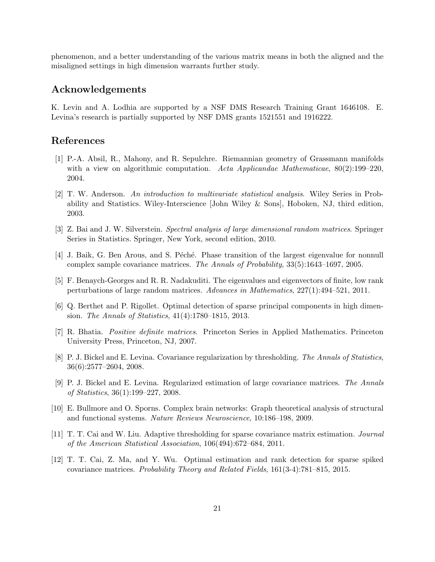phenomenon, and a better understanding of the various matrix means in both the aligned and the misaligned settings in high dimension warrants further study.

# Acknowledgements

K. Levin and A. Lodhia are supported by a NSF DMS Research Training Grant 1646108. E. Levina's research is partially supported by NSF DMS grants 1521551 and 1916222.

# References

- <span id="page-20-2"></span>[1] P.-A. Absil, R., Mahony, and R. Sepulchre. Riemannian geometry of Grassmann manifolds with a view on algorithmic computation. Acta Applicandae Mathematicae,  $80(2):199-220$ , 2004.
- <span id="page-20-3"></span>[2] T. W. Anderson. An introduction to multivariate statistical analysis. Wiley Series in Probability and Statistics. Wiley-Interscience [John Wiley & Sons], Hoboken, NJ, third edition, 2003.
- <span id="page-20-9"></span>[3] Z. Bai and J. W. Silverstein. Spectral analysis of large dimensional random matrices. Springer Series in Statistics. Springer, New York, second edition, 2010.
- <span id="page-20-10"></span>[4] J. Baik, G. Ben Arous, and S. Péché. Phase transition of the largest eigenvalue for nonnull complex sample covariance matrices. The Annals of Probability, 33(5):1643–1697, 2005.
- <span id="page-20-11"></span>[5] F. Benaych-Georges and R. R. Nadakuditi. The eigenvalues and eigenvectors of finite, low rank perturbations of large random matrices. Advances in Mathematics, 227(1):494–521, 2011.
- <span id="page-20-4"></span>[6] Q. Berthet and P. Rigollet. Optimal detection of sparse principal components in high dimension. The Annals of Statistics, 41(4):1780–1815, 2013.
- <span id="page-20-1"></span>[7] R. Bhatia. Positive definite matrices. Princeton Series in Applied Mathematics. Princeton University Press, Princeton, NJ, 2007.
- <span id="page-20-6"></span>[8] P. J. Bickel and E. Levina. Covariance regularization by thresholding. The Annals of Statistics, 36(6):2577–2604, 2008.
- <span id="page-20-7"></span>[9] P. J. Bickel and E. Levina. Regularized estimation of large covariance matrices. The Annals of Statistics, 36(1):199–227, 2008.
- <span id="page-20-0"></span>[10] E. Bullmore and O. Sporns. Complex brain networks: Graph theoretical analysis of structural and functional systems. Nature Reviews Neuroscience, 10:186–198, 2009.
- <span id="page-20-8"></span>[11] T. T. Cai and W. Liu. Adaptive thresholding for sparse covariance matrix estimation. Journal of the American Statistical Association, 106(494):672–684, 2011.
- <span id="page-20-5"></span>[12] T. T. Cai, Z. Ma, and Y. Wu. Optimal estimation and rank detection for sparse spiked covariance matrices. Probability Theory and Related Fields, 161(3-4):781–815, 2015.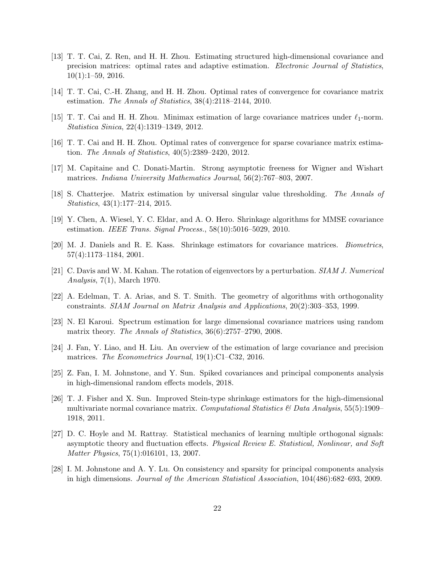- <span id="page-21-12"></span>[13] T. T. Cai, Z. Ren, and H. H. Zhou. Estimating structured high-dimensional covariance and precision matrices: optimal rates and adaptive estimation. Electronic Journal of Statistics,  $10(1):1-59, 2016.$
- <span id="page-21-9"></span>[14] T. T. Cai, C.-H. Zhang, and H. H. Zhou. Optimal rates of convergence for covariance matrix estimation. The Annals of Statistics, 38(4):2118–2144, 2010.
- <span id="page-21-11"></span>[15] T. T. Cai and H. H. Zhou. Minimax estimation of large covariance matrices under  $\ell_1$ -norm. Statistica Sinica, 22(4):1319–1349, 2012.
- <span id="page-21-10"></span>[16] T. T. Cai and H. H. Zhou. Optimal rates of convergence for sparse covariance matrix estimation. The Annals of Statistics, 40(5):2389–2420, 2012.
- <span id="page-21-14"></span>[17] M. Capitaine and C. Donati-Martin. Strong asymptotic freeness for Wigner and Wishart matrices. Indiana University Mathematics Journal, 56(2):767–803, 2007.
- <span id="page-21-1"></span>[18] S. Chatterjee. Matrix estimation by universal singular value thresholding. The Annals of Statistics, 43(1):177–214, 2015.
- <span id="page-21-7"></span>[19] Y. Chen, A. Wiesel, Y. C. Eldar, and A. O. Hero. Shrinkage algorithms for MMSE covariance estimation. IEEE Trans. Signal Process., 58(10):5016–5029, 2010.
- <span id="page-21-6"></span>[20] M. J. Daniels and R. E. Kass. Shrinkage estimators for covariance matrices. Biometrics, 57(4):1173–1184, 2001.
- <span id="page-21-13"></span>[21] C. Davis and W. M. Kahan. The rotation of eigenvectors by a perturbation. SIAM J. Numerical Analysis, 7(1), March 1970.
- <span id="page-21-2"></span>[22] A. Edelman, T. A. Arias, and S. T. Smith. The geometry of algorithms with orthogonality constraints. SIAM Journal on Matrix Analysis and Applications, 20(2):303–353, 1999.
- <span id="page-21-3"></span>[23] N. El Karoui. Spectrum estimation for large dimensional covariance matrices using random matrix theory. The Annals of Statistics, 36(6):2757-2790, 2008.
- <span id="page-21-0"></span>[24] J. Fan, Y. Liao, and H. Liu. An overview of the estimation of large covariance and precision matrices. The Econometrics Journal, 19(1):C1–C32, 2016.
- <span id="page-21-5"></span>[25] Z. Fan, I. M. Johnstone, and Y. Sun. Spiked covariances and principal components analysis in high-dimensional random effects models, 2018.
- <span id="page-21-8"></span>[26] T. J. Fisher and X. Sun. Improved Stein-type shrinkage estimators for the high-dimensional multivariate normal covariance matrix. Computational Statistics  $\mathcal{B}$  Data Analysis, 55(5):1909– 1918, 2011.
- <span id="page-21-15"></span>[27] D. C. Hoyle and M. Rattray. Statistical mechanics of learning multiple orthogonal signals: asymptotic theory and fluctuation effects. Physical Review E. Statistical, Nonlinear, and Soft Matter Physics, 75(1):016101, 13, 2007.
- <span id="page-21-4"></span>[28] I. M. Johnstone and A. Y. Lu. On consistency and sparsity for principal components analysis in high dimensions. Journal of the American Statistical Association, 104(486):682–693, 2009.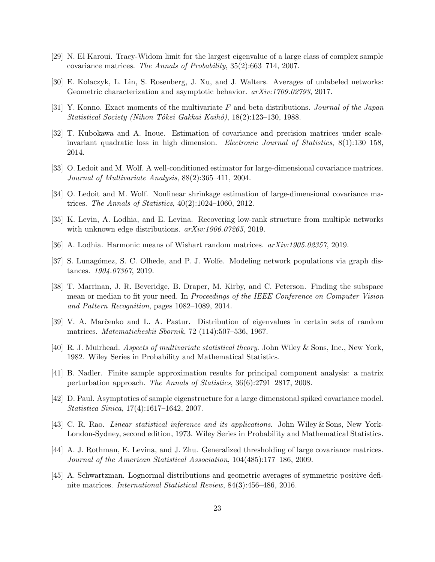- <span id="page-22-11"></span>[29] N. El Karoui. Tracy-Widom limit for the largest eigenvalue of a large class of complex sample covariance matrices. The Annals of Probability, 35(2):663–714, 2007.
- <span id="page-22-4"></span>[30] E. Kolaczyk, L. Lin, S. Rosenberg, J. Xu, and J. Walters. Averages of unlabeled networks: Geometric characterization and asymptotic behavior.  $arXiv:1709.02793, 2017$ .
- <span id="page-22-12"></span>[31] Y. Konno. Exact moments of the multivariate F and beta distributions. Journal of the Japan Statistical Society (Nihon Tôkei Gakkai Kaihô), 18(2):123–130, 1988.
- <span id="page-22-14"></span>[32] T. Kubokawa and A. Inoue. Estimation of covariance and precision matrices under scaleinvariant quadratic loss in high dimension. Electronic Journal of Statistics, 8(1):130–158, 2014.
- <span id="page-22-8"></span>[33] O. Ledoit and M. Wolf. A well-conditioned estimator for large-dimensional covariance matrices. Journal of Multivariate Analysis, 88(2):365–411, 2004.
- <span id="page-22-9"></span>[34] O. Ledoit and M. Wolf. Nonlinear shrinkage estimation of large-dimensional covariance matrices. The Annals of Statistics, 40(2):1024–1060, 2012.
- <span id="page-22-0"></span>[35] K. Levin, A. Lodhia, and E. Levina. Recovering low-rank structure from multiple networks with unknown edge distributions.  $arXiv:1906.07265$ , 2019.
- <span id="page-22-5"></span>[36] A. Lodhia. Harmonic means of Wishart random matrices. arXiv:1905.02357, 2019.
- <span id="page-22-2"></span>[37] S. Lunagómez, S. C. Olhede, and P. J. Wolfe. Modeling network populations via graph distances. 1904.07367, 2019.
- <span id="page-22-3"></span>[38] T. Marrinan, J. R. Beveridge, B. Draper, M. Kirby, and C. Peterson. Finding the subspace mean or median to fit your need. In Proceedings of the IEEE Conference on Computer Vision and Pattern Recognition, pages 1082–1089, 2014.
- <span id="page-22-7"></span>[39] V. A. Marˇcenko and L. A. Pastur. Distribution of eigenvalues in certain sets of random matrices. Matematicheskii Sbornik, 72 (114):507–536, 1967.
- <span id="page-22-6"></span>[40] R. J. Muirhead. Aspects of multivariate statistical theory. John Wiley & Sons, Inc., New York, 1982. Wiley Series in Probability and Mathematical Statistics.
- <span id="page-22-16"></span>[41] B. Nadler. Finite sample approximation results for principal component analysis: a matrix perturbation approach. The Annals of Statistics, 36(6):2791–2817, 2008.
- <span id="page-22-15"></span>[42] D. Paul. Asymptotics of sample eigenstructure for a large dimensional spiked covariance model. Statistica Sinica, 17(4):1617–1642, 2007.
- <span id="page-22-13"></span>[43] C. R. Rao. Linear statistical inference and its applications. John Wiley & Sons, New York-London-Sydney, second edition, 1973. Wiley Series in Probability and Mathematical Statistics.
- <span id="page-22-10"></span>[44] A. J. Rothman, E. Levina, and J. Zhu. Generalized thresholding of large covariance matrices. Journal of the American Statistical Association, 104(485):177–186, 2009.
- <span id="page-22-1"></span>[45] A. Schwartzman. Lognormal distributions and geometric averages of symmetric positive definite matrices. International Statistical Review, 84(3):456–486, 2016.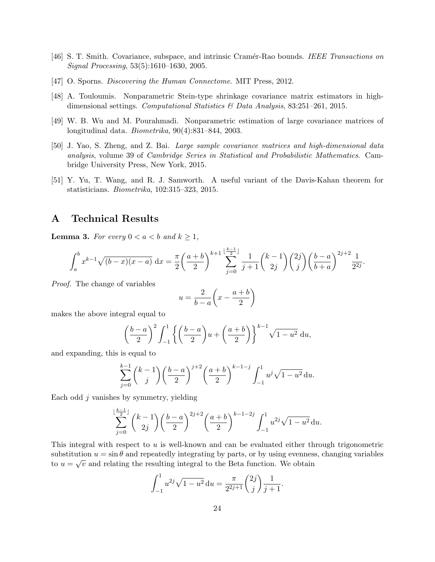- <span id="page-23-1"></span>[46] S. T. Smith. Covariance, subspace, and intrinsic Cram´er-Rao bounds. IEEE Transactions on Signal Processing, 53(5):1610–1630, 2005.
- <span id="page-23-0"></span>[47] O. Sporns. *Discovering the Human Connectome*. MIT Press, 2012.
- <span id="page-23-3"></span>[48] A. Touloumis. Nonparametric Stein-type shrinkage covariance matrix estimators in highdimensional settings. Computational Statistics & Data Analysis, 83:251–261, 2015.
- <span id="page-23-4"></span>[49] W. B. Wu and M. Pourahmadi. Nonparametric estimation of large covariance matrices of longitudinal data. Biometrika, 90(4):831–844, 2003.
- <span id="page-23-2"></span>[50] J. Yao, S. Zheng, and Z. Bai. Large sample covariance matrices and high-dimensional data analysis, volume 39 of Cambridge Series in Statistical and Probabilistic Mathematics. Cambridge University Press, New York, 2015.
- <span id="page-23-6"></span>[51] Y. Yu, T. Wang, and R. J. Samworth. A useful variant of the Davis-Kahan theorem for statisticians. Biometrika, 102:315–323, 2015.

# A Technical Results

<span id="page-23-5"></span>**Lemma 3.** For every  $0 < a < b$  and  $k \geq 1$ ,

$$
\int_a^b x^{k-1} \sqrt{(b-x)(x-a)} \, dx = \frac{\pi}{2} \left( \frac{a+b}{2} \right)^{k+1} \sum_{j=0}^{\lfloor \frac{k-1}{2} \rfloor} \frac{1}{j+1} {k-1 \choose 2j} {2j \choose j} \left( \frac{b-a}{b+a} \right)^{2j+2} \frac{1}{2^{2j}}.
$$

Proof. The change of variables

$$
u = \frac{2}{b-a} \left( x - \frac{a+b}{2} \right)
$$

makes the above integral equal to

$$
\left(\frac{b-a}{2}\right)^2 \int_{-1}^1 \left\{ \left(\frac{b-a}{2}\right)u + \left(\frac{a+b}{2}\right) \right\}^{k-1} \sqrt{1-u^2} \ du,
$$

and expanding, this is equal to

$$
\sum_{j=0}^{k-1} {k-1 \choose j} \left(\frac{b-a}{2}\right)^{j+2} \left(\frac{a+b}{2}\right)^{k-1-j} \int_{-1}^{1} u^j \sqrt{1-u^2} \, \mathrm{d}u.
$$

Each odd  $j$  vanishes by symmetry, yielding

$$
\sum_{j=0}^{\lfloor \frac{k-1}{2} \rfloor} \binom{k-1}{2j} \left( \frac{b-a}{2} \right)^{2j+2} \left( \frac{a+b}{2} \right)^{k-1-2j} \int_{-1}^{1} u^{2j} \sqrt{1-u^2} \, \mathrm{d}u.
$$

This integral with respect to  $u$  is well-known and can be evaluated either through trigonometric substitution  $u = \sin \theta$  and repeatedly integrating by parts, or by using evenness, changing variables to  $u = \sqrt{v}$  and relating the resulting integral to the Beta function. We obtain

$$
\int_{-1}^{1} u^{2j} \sqrt{1 - u^2} \, du = \frac{\pi}{2^{2j+1}} {2j \choose j} \frac{1}{j+1}.
$$